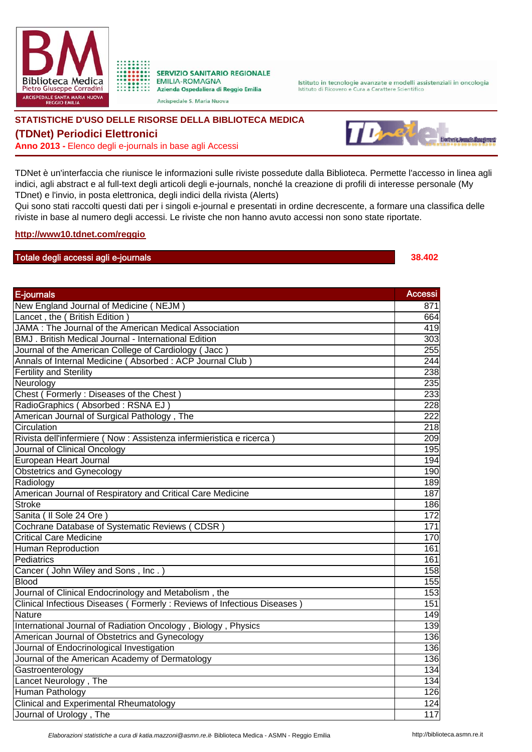



Arcispedale S. Maria Nuova

Istituto in tecnologie avanzate e modelli assistenziali in oncologia Istituto di Ricovero e Cura a Carattere Scientifico

## **STATISTICHE D'USO DELLE RISORSE DELLA BIBLIOTECA MEDICA**

## **(TDNet) Periodici Elettronici**

**Anno 2013 -** Elenco degli e-journals in base agli Accessi



TDNet è un'interfaccia che riunisce le informazioni sulle riviste possedute dalla Biblioteca. Permette l'accesso in linea agli indici, agli abstract e al full-text degli articoli degli e-journals, nonché la creazione di profili di interesse personale (My TDnet) e l'invio, in posta elettronica, degli indici della rivista (Alerts)

Qui sono stati raccolti questi dati per i singoli e-journal e presentati in ordine decrescente, a formare una classifica delle riviste in base al numero degli accessi. Le riviste che non hanno avuto accessi non sono state riportate.

## **http://www10.tdnet.com/reggio**

## Totale degli accessi agli e-journals **38.402**

| E-journals                                                              | <b>Accessi</b>   |
|-------------------------------------------------------------------------|------------------|
| New England Journal of Medicine (NEJM)                                  | 871              |
| Lancet, the (British Edition)                                           | 664              |
| JAMA : The Journal of the American Medical Association                  | 419              |
| BMJ. British Medical Journal - International Edition                    | 303              |
| Journal of the American College of Cardiology (Jacc)                    | 255              |
| Annals of Internal Medicine (Absorbed: ACP Journal Club)                | 244              |
| <b>Fertility and Sterility</b>                                          | 238              |
| Neurology                                                               | 235              |
| Chest (Formerly: Diseases of the Chest)                                 | 233              |
| RadioGraphics (Absorbed: RSNA EJ)                                       | 228              |
| American Journal of Surgical Pathology, The                             | $\overline{222}$ |
| Circulation                                                             | 218              |
| Rivista dell'infermiere (Now : Assistenza infermieristica e ricerca)    | 209              |
| Journal of Clinical Oncology                                            | 195              |
| European Heart Journal                                                  | 194              |
| <b>Obstetrics and Gynecology</b>                                        | 190              |
| Radiology                                                               | 189              |
| American Journal of Respiratory and Critical Care Medicine              | 187              |
| <b>Stroke</b>                                                           | 186              |
| Sanita (Il Sole 24 Ore)                                                 | 172              |
| Cochrane Database of Systematic Reviews (CDSR)                          | 171              |
| <b>Critical Care Medicine</b>                                           | 170              |
| <b>Human Reproduction</b>                                               | 161              |
| Pediatrics                                                              | 161              |
| Cancer (John Wiley and Sons, Inc.)                                      | 158              |
| <b>Blood</b>                                                            | 155              |
| Journal of Clinical Endocrinology and Metabolism, the                   | 153              |
| Clinical Infectious Diseases (Formerly: Reviews of Infectious Diseases) | 151              |
| Nature                                                                  | 149              |
| International Journal of Radiation Oncology, Biology, Physics           | 139              |
| American Journal of Obstetrics and Gynecology                           | 136              |
| Journal of Endocrinological Investigation                               | 136              |
| Journal of the American Academy of Dermatology                          | 136              |
| Gastroenterology                                                        | 134              |
| Lancet Neurology, The                                                   | 134              |
| Human Pathology                                                         | 126              |
| <b>Clinical and Experimental Rheumatology</b>                           | 124              |
| Journal of Urology, The                                                 | 117              |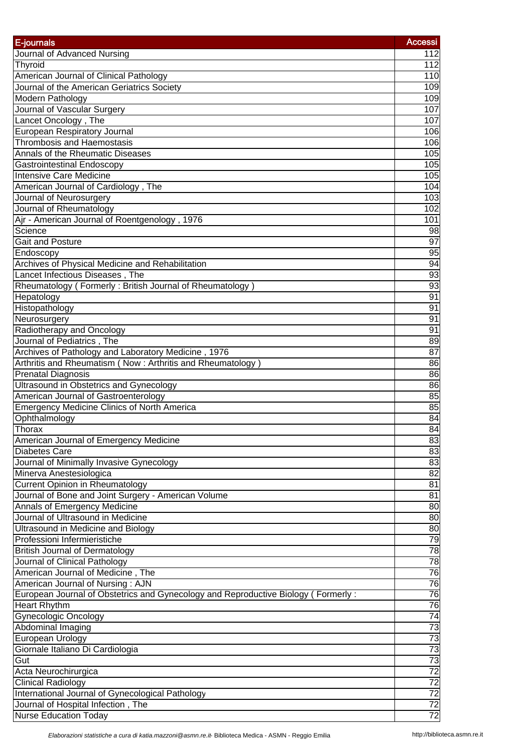| E-journals                                                                        | <b>Accessi</b>  |
|-----------------------------------------------------------------------------------|-----------------|
| Journal of Advanced Nursing                                                       | $112$           |
| Thyroid                                                                           | 112             |
| American Journal of Clinical Pathology                                            | 110             |
| Journal of the American Geriatrics Society                                        | 109             |
| Modern Pathology                                                                  | 109             |
| Journal of Vascular Surgery                                                       | 107             |
| Lancet Oncology, The                                                              | 107             |
| European Respiratory Journal                                                      | 106             |
| <b>Thrombosis and Haemostasis</b>                                                 | 106             |
| Annals of the Rheumatic Diseases                                                  | 105             |
| Gastrointestinal Endoscopy                                                        | 105             |
| <b>Intensive Care Medicine</b>                                                    | 105             |
| American Journal of Cardiology, The                                               | 104             |
| Journal of Neurosurgery                                                           | 103             |
| Journal of Rheumatology                                                           | 102             |
| Ajr - American Journal of Roentgenology, 1976                                     | 101             |
| Science                                                                           | 98              |
| <b>Gait and Posture</b>                                                           | $\overline{97}$ |
| Endoscopy                                                                         | 95              |
| Archives of Physical Medicine and Rehabilitation                                  | 94              |
| Lancet Infectious Diseases, The                                                   | 93              |
| Rheumatology (Formerly: British Journal of Rheumatology)                          | 93              |
| Hepatology                                                                        | 91              |
| Histopathology                                                                    | 91              |
| Neurosurgery                                                                      | 91              |
| Radiotherapy and Oncology                                                         | 91              |
| Journal of Pediatrics, The                                                        | 89              |
| Archives of Pathology and Laboratory Medicine, 1976                               | 87              |
| Arthritis and Rheumatism (Now: Arthritis and Rheumatology)                        | 86              |
| <b>Prenatal Diagnosis</b>                                                         | 86              |
| <b>Ultrasound in Obstetrics and Gynecology</b>                                    | 86              |
| American Journal of Gastroenterology                                              | 85              |
| <b>Emergency Medicine Clinics of North America</b>                                | 85              |
| Ophthalmology                                                                     | 84              |
| Thorax                                                                            | $\overline{84}$ |
| American Journal of Emergency Medicine                                            | 83              |
| Diabetes Care                                                                     | 83              |
| Journal of Minimally Invasive Gynecology                                          | 83              |
| Minerva Anestesiologica                                                           | 82              |
| <b>Current Opinion in Rheumatology</b>                                            | 81              |
| Journal of Bone and Joint Surgery - American Volume                               | 81              |
| Annals of Emergency Medicine                                                      | 80              |
| Journal of Ultrasound in Medicine                                                 | 80              |
| <b>Ultrasound in Medicine and Biology</b>                                         | 80              |
| Professioni Infermieristiche                                                      | 79              |
| <b>British Journal of Dermatology</b>                                             | 78              |
| Journal of Clinical Pathology                                                     | 78              |
| American Journal of Medicine, The                                                 | 76              |
| American Journal of Nursing: AJN                                                  | 76              |
| European Journal of Obstetrics and Gynecology and Reproductive Biology (Formerly: | 76              |
| <b>Heart Rhythm</b>                                                               | 76              |
| <b>Gynecologic Oncology</b>                                                       | 74              |
| Abdominal Imaging                                                                 | 레정의정정정          |
| European Urology                                                                  |                 |
| Giornale Italiano Di Cardiologia                                                  |                 |
| Gut                                                                               |                 |
| Acta Neurochirurgica                                                              |                 |
| Clinical Radiology                                                                |                 |
| International Journal of Gynecological Pathology                                  |                 |
| Journal of Hospital Infection, The                                                |                 |
| <b>Nurse Education Today</b>                                                      |                 |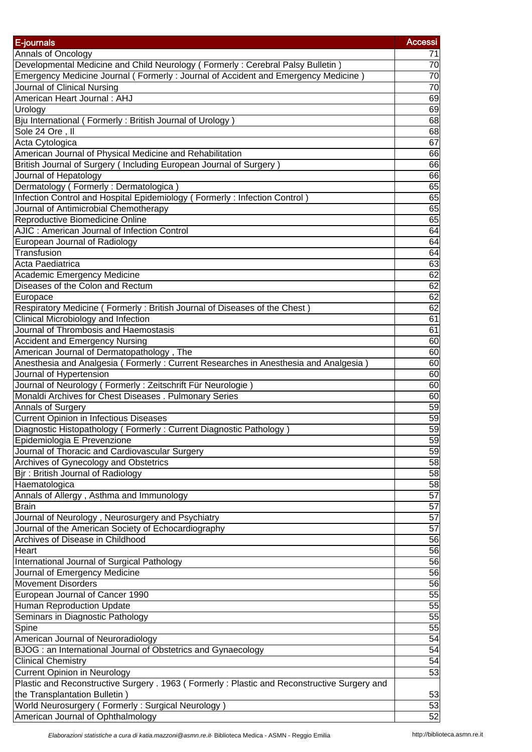| E-journals                                                                                                                         | <b>Accessi</b>  |
|------------------------------------------------------------------------------------------------------------------------------------|-----------------|
| Annals of Oncology                                                                                                                 | 71              |
| Developmental Medicine and Child Neurology (Formerly: Cerebral Palsy Bulletin)                                                     | $\overline{70}$ |
| Emergency Medicine Journal (Formerly: Journal of Accident and Emergency Medicine)                                                  | 70              |
| Journal of Clinical Nursing                                                                                                        | 70              |
| American Heart Journal: AHJ                                                                                                        | 69              |
|                                                                                                                                    | 69              |
| Urology                                                                                                                            | 68              |
| Bju International (Formerly: British Journal of Urology)                                                                           |                 |
| Sole 24 Ore, II                                                                                                                    | 68              |
| Acta Cytologica                                                                                                                    | 67              |
| American Journal of Physical Medicine and Rehabilitation                                                                           | 66              |
| British Journal of Surgery (Including European Journal of Surgery)                                                                 | 66              |
| Journal of Hepatology                                                                                                              | 66              |
| Dermatology (Formerly: Dermatologica)                                                                                              | 65              |
| Infection Control and Hospital Epidemiology (Formerly: Infection Control)                                                          | 65              |
| Journal of Antimicrobial Chemotherapy                                                                                              | 65              |
| Reproductive Biomedicine Online                                                                                                    | 65              |
| AJIC: American Journal of Infection Control                                                                                        | 64              |
| European Journal of Radiology                                                                                                      | 64              |
| Transfusion                                                                                                                        | 64              |
| Acta Paediatrica                                                                                                                   | 63              |
| <b>Academic Emergency Medicine</b>                                                                                                 | 62              |
| Diseases of the Colon and Rectum                                                                                                   | 62              |
| Europace                                                                                                                           | 62              |
| Respiratory Medicine (Formerly: British Journal of Diseases of the Chest)                                                          | 62              |
| Clinical Microbiology and Infection                                                                                                | 61              |
| Journal of Thrombosis and Haemostasis                                                                                              | 61              |
| <b>Accident and Emergency Nursing</b>                                                                                              | 60              |
| American Journal of Dermatopathology, The                                                                                          | 60              |
| Anesthesia and Analgesia (Formerly: Current Researches in Anesthesia and Analgesia)                                                | 60              |
| Journal of Hypertension                                                                                                            | 60              |
| Journal of Neurology (Formerly: Zeitschrift Für Neurologie)                                                                        | 60              |
| Monaldi Archives for Chest Diseases . Pulmonary Series                                                                             | 60              |
| Annals of Surgery                                                                                                                  | 59              |
| <b>Current Opinion in Infectious Diseases</b>                                                                                      | 59              |
| Diagnostic Histopathology (Formerly: Current Diagnostic Pathology)                                                                 | 59              |
| Epidemiologia E Prevenzione                                                                                                        | 59              |
| Journal of Thoracic and Cardiovascular Surgery                                                                                     | 59              |
| Archives of Gynecology and Obstetrics                                                                                              | $\overline{58}$ |
| Bjr: British Journal of Radiology                                                                                                  | 58              |
| Haematologica                                                                                                                      | 58              |
| Annals of Allergy, Asthma and Immunology                                                                                           | 57              |
| <b>Brain</b>                                                                                                                       | 57              |
| Journal of Neurology, Neurosurgery and Psychiatry                                                                                  | $\overline{57}$ |
| Journal of the American Society of Echocardiography                                                                                | 57              |
| Archives of Disease in Childhood                                                                                                   | 56              |
| Heart                                                                                                                              | 56              |
| International Journal of Surgical Pathology                                                                                        | 56              |
| Journal of Emergency Medicine                                                                                                      | 56              |
| Movement Disorders                                                                                                                 | 56              |
| European Journal of Cancer 1990                                                                                                    | 55              |
| <b>Human Reproduction Update</b>                                                                                                   | 55              |
| Seminars in Diagnostic Pathology                                                                                                   | $\overline{55}$ |
| Spine                                                                                                                              | $\overline{55}$ |
| American Journal of Neuroradiology                                                                                                 | 54              |
| BJOG : an International Journal of Obstetrics and Gynaecology                                                                      | 54              |
| <b>Clinical Chemistry</b>                                                                                                          | 54              |
|                                                                                                                                    | 53              |
| <b>Current Opinion in Neurology</b><br>Plastic and Reconstructive Surgery . 1963 (Formerly: Plastic and Reconstructive Surgery and |                 |
|                                                                                                                                    |                 |
| the Transplantation Bulletin)<br>World Neurosurgery (Formerly: Surgical Neurology)                                                 | 53<br>53        |
| American Journal of Ophthalmology                                                                                                  | 52              |
|                                                                                                                                    |                 |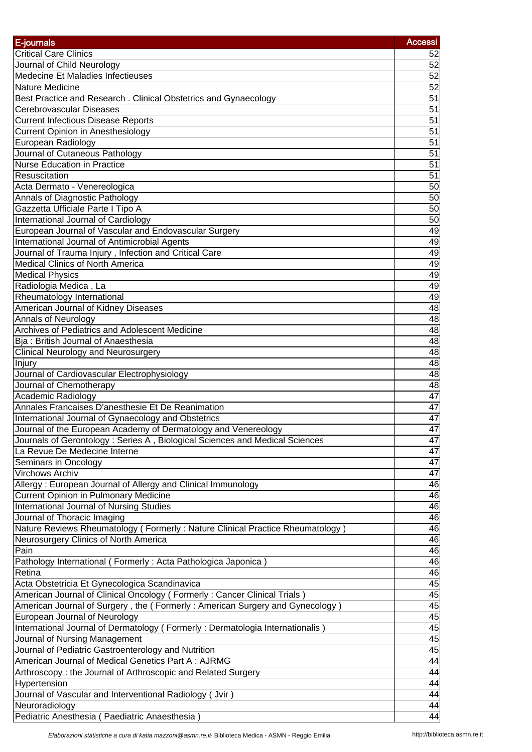| E-journals                                                                    | Accessi         |
|-------------------------------------------------------------------------------|-----------------|
| <b>Critical Care Clinics</b>                                                  | 52              |
| Journal of Child Neurology                                                    | 52              |
| Medecine Et Maladies Infectieuses                                             | $\overline{52}$ |
| Nature Medicine                                                               | 52              |
| Best Practice and Research. Clinical Obstetrics and Gynaecology               | 51              |
| Cerebrovascular Diseases                                                      | $\overline{51}$ |
| <b>Current Infectious Disease Reports</b>                                     | 51              |
| <b>Current Opinion in Anesthesiology</b>                                      | 51              |
| European Radiology                                                            | 51              |
| Journal of Cutaneous Pathology                                                | 51              |
| <b>Nurse Education in Practice</b>                                            | $\overline{51}$ |
| Resuscitation                                                                 | $\overline{51}$ |
| Acta Dermato - Venereologica                                                  | 50              |
| Annals of Diagnostic Pathology                                                | 50              |
| Gazzetta Ufficiale Parte I Tipo A                                             | 50              |
| International Journal of Cardiology                                           | 50              |
| European Journal of Vascular and Endovascular Surgery                         | 49              |
| International Journal of Antimicrobial Agents                                 | 49              |
| Journal of Trauma Injury, Infection and Critical Care                         | 49              |
| <b>Medical Clinics of North America</b>                                       | 49              |
| <b>Medical Physics</b>                                                        | 49              |
| Radiologia Medica, La                                                         | 49              |
| Rheumatology International                                                    | 49              |
| American Journal of Kidney Diseases                                           | 48              |
| <b>Annals of Neurology</b>                                                    | 48              |
| Archives of Pediatrics and Adolescent Medicine                                | 48              |
| Bja: British Journal of Anaesthesia                                           | 48              |
| <b>Clinical Neurology and Neurosurgery</b>                                    | $\overline{48}$ |
| Injury                                                                        | 48              |
| Journal of Cardiovascular Electrophysiology                                   | 48              |
| Journal of Chemotherapy                                                       | 48              |
| Academic Radiology                                                            | 47              |
| Annales Francaises D'anesthesie Et De Reanimation                             | 47              |
| International Journal of Gynaecology and Obstetrics                           | 47              |
| Journal of the European Academy of Dermatology and Venereology                | $\overline{47}$ |
| Journals of Gerontology: Series A, Biological Sciences and Medical Sciences   | 47              |
| La Revue De Medecine Interne                                                  | 47              |
| Seminars in Oncology                                                          | 47              |
| Virchows Archiv                                                               | 47              |
| Allergy: European Journal of Allergy and Clinical Immunology                  | 46              |
| <b>Current Opinion in Pulmonary Medicine</b>                                  | 46              |
| International Journal of Nursing Studies                                      | 46              |
| Journal of Thoracic Imaging                                                   | 46              |
| Nature Reviews Rheumatology (Formerly: Nature Clinical Practice Rheumatology) | 46              |
| Neurosurgery Clinics of North America                                         | 46              |
| Pain                                                                          | 46              |
| Pathology International (Formerly: Acta Pathologica Japonica)                 | 46              |
| Retina                                                                        | 46              |
| Acta Obstetricia Et Gynecologica Scandinavica                                 | 45              |
| American Journal of Clinical Oncology (Formerly: Cancer Clinical Trials)      | 45              |
| American Journal of Surgery, the (Formerly: American Surgery and Gynecology)  | 45              |
| European Journal of Neurology                                                 | 45              |
| International Journal of Dermatology (Formerly: Dermatologia Internationalis) | 45              |
| Journal of Nursing Management                                                 | 45              |
| Journal of Pediatric Gastroenterology and Nutrition                           | 45              |
| American Journal of Medical Genetics Part A: AJRMG                            | 44              |
| Arthroscopy: the Journal of Arthroscopic and Related Surgery                  | 44              |
| Hypertension                                                                  | 44              |
| Journal of Vascular and Interventional Radiology (Jvir)                       | 44              |
| Neuroradiology                                                                | 44              |
| Pediatric Anesthesia (Paediatric Anaesthesia)                                 | 44              |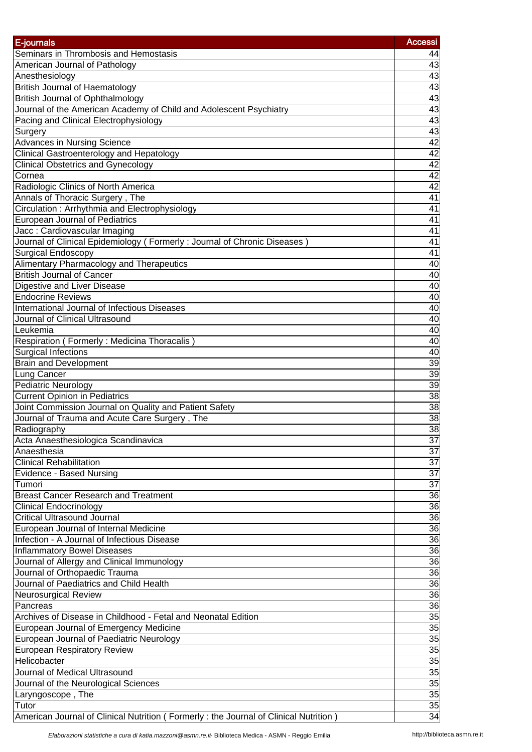| E-journals                                                                           | <b>Accessi</b>                     |
|--------------------------------------------------------------------------------------|------------------------------------|
| Seminars in Thrombosis and Hemostasis                                                | 44                                 |
| American Journal of Pathology                                                        | 43                                 |
| Anesthesiology                                                                       | 43                                 |
| <b>British Journal of Haematology</b>                                                | 43                                 |
| <b>British Journal of Ophthalmology</b>                                              | 43                                 |
| Journal of the American Academy of Child and Adolescent Psychiatry                   | 43                                 |
| Pacing and Clinical Electrophysiology                                                | 43                                 |
| Surgery                                                                              |                                    |
| <b>Advances in Nursing Science</b>                                                   | $\frac{43}{42}$<br>$\frac{42}{42}$ |
| <b>Clinical Gastroenterology and Hepatology</b>                                      |                                    |
| <b>Clinical Obstetrics and Gynecology</b>                                            |                                    |
| Cornea                                                                               | 42                                 |
| Radiologic Clinics of North America                                                  | 42                                 |
| Annals of Thoracic Surgery, The                                                      | 41                                 |
| Circulation: Arrhythmia and Electrophysiology                                        | $\overline{41}$                    |
| <b>European Journal of Pediatrics</b>                                                | 41                                 |
| Jacc: Cardiovascular Imaging                                                         | 41                                 |
| Journal of Clinical Epidemiology (Formerly: Journal of Chronic Diseases)             | 41                                 |
| <b>Surgical Endoscopy</b>                                                            | 41                                 |
| Alimentary Pharmacology and Therapeutics                                             | 40                                 |
| <b>British Journal of Cancer</b>                                                     | 40                                 |
| Digestive and Liver Disease                                                          | 40                                 |
| <b>Endocrine Reviews</b>                                                             | 40                                 |
| International Journal of Infectious Diseases                                         | 40                                 |
| Journal of Clinical Ultrasound                                                       | 40                                 |
| Leukemia                                                                             | 40                                 |
| Respiration (Formerly: Medicina Thoracalis)                                          | 40                                 |
| Surgical Infections                                                                  | 40                                 |
| <b>Brain and Development</b>                                                         | 39                                 |
| Lung Cancer                                                                          | 39                                 |
| <b>Pediatric Neurology</b>                                                           | 39                                 |
| <b>Current Opinion in Pediatrics</b>                                                 | 38                                 |
| Joint Commission Journal on Quality and Patient Safety                               | $\overline{38}$                    |
| Journal of Trauma and Acute Care Surgery, The                                        | $\overline{38}$                    |
| Radiography                                                                          | $\overline{38}$                    |
| Acta Anaesthesiologica Scandinavica                                                  | 37                                 |
| Anaesthesia                                                                          | $\overline{37}$                    |
| <b>Clinical Rehabilitation</b>                                                       | $\overline{37}$                    |
| Evidence - Based Nursing                                                             | 37                                 |
| Tumori                                                                               | $\overline{37}$                    |
| <b>Breast Cancer Research and Treatment</b>                                          | 36                                 |
| <b>Clinical Endocrinology</b>                                                        | 36                                 |
| <b>Critical Ultrasound Journal</b>                                                   | 36                                 |
| European Journal of Internal Medicine                                                | 36                                 |
| Infection - A Journal of Infectious Disease                                          | 36                                 |
| <b>Inflammatory Bowel Diseases</b>                                                   | 36                                 |
| Journal of Allergy and Clinical Immunology                                           | $\overline{36}$                    |
| Journal of Orthopaedic Trauma<br>Journal of Paediatrics and Child Health             | 36                                 |
|                                                                                      | $\overline{36}$                    |
| Neurosurgical Review                                                                 | 36<br>36                           |
| Pancreas<br>Archives of Disease in Childhood - Fetal and Neonatal Edition            | $\overline{35}$                    |
|                                                                                      |                                    |
| European Journal of Emergency Medicine                                               | 35<br>35                           |
| European Journal of Paediatric Neurology                                             |                                    |
| <b>European Respiratory Review</b><br>Helicobacter                                   | $\frac{35}{35}$                    |
| Journal of Medical Ultrasound                                                        | 35                                 |
|                                                                                      | 35                                 |
| Journal of the Neurological Sciences                                                 |                                    |
| Laryngoscope, The<br>Tutor                                                           | $\frac{35}{35}$                    |
| American Journal of Clinical Nutrition (Formerly: the Journal of Clinical Nutrition) |                                    |
|                                                                                      |                                    |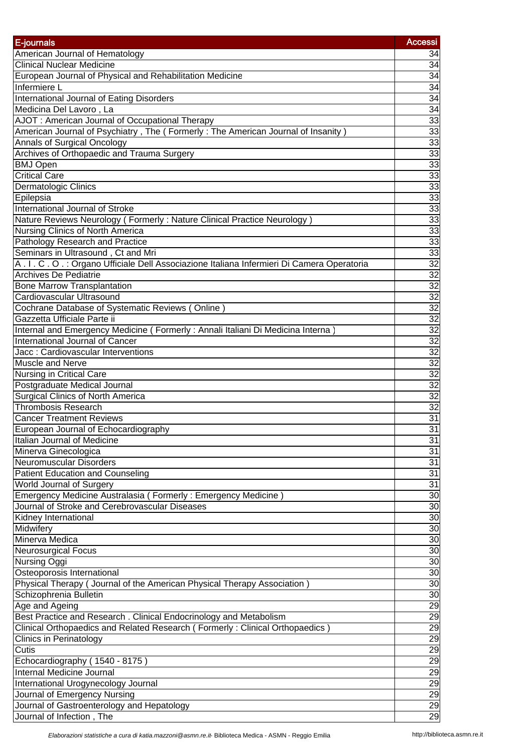| E-journals                                                                                                         | <b>Accessi</b>        |
|--------------------------------------------------------------------------------------------------------------------|-----------------------|
| American Journal of Hematology                                                                                     | 34                    |
| <b>Clinical Nuclear Medicine</b>                                                                                   | 34                    |
| European Journal of Physical and Rehabilitation Medicine                                                           | $\overline{34}$       |
| Infermiere L                                                                                                       | 34                    |
| International Journal of Eating Disorders                                                                          | 34                    |
| Medicina Del Lavoro, La                                                                                            | 34                    |
| AJOT: American Journal of Occupational Therapy                                                                     | 33                    |
| American Journal of Psychiatry, The (Formerly: The American Journal of Insanity)                                   | 33                    |
| Annals of Surgical Oncology                                                                                        | $\frac{33}{2}$        |
| Archives of Orthopaedic and Trauma Surgery                                                                         | $\overline{33}$       |
| <b>BMJ Open</b>                                                                                                    | 33                    |
| <b>Critical Care</b>                                                                                               | 33                    |
| Dermatologic Clinics                                                                                               | 33                    |
| Epilepsia                                                                                                          | 33                    |
| International Journal of Stroke                                                                                    | 33                    |
| Nature Reviews Neurology (Formerly: Nature Clinical Practice Neurology)                                            | 33                    |
| Nursing Clinics of North America                                                                                   | 33                    |
| Pathology Research and Practice                                                                                    | 33                    |
| Seminars in Ultrasound, Ct and Mri                                                                                 | 33                    |
| A.I.C.O.: Organo Ufficiale Dell Associazione Italiana Infermieri Di Camera Operatoria                              | $\overline{32}$       |
| <b>Archives De Pediatrie</b>                                                                                       | 32                    |
| <b>Bone Marrow Transplantation</b>                                                                                 |                       |
| Cardiovascular Ultrasound                                                                                          | $\frac{32}{32}$       |
| Cochrane Database of Systematic Reviews (Online)                                                                   | $\overline{32}$       |
| Gazzetta Ufficiale Parte ii                                                                                        | 32                    |
| Internal and Emergency Medicine (Formerly: Annali Italiani Di Medicina Interna                                     | $\overline{32}$       |
| International Journal of Cancer                                                                                    | 32                    |
| Jacc: Cardiovascular Interventions                                                                                 | $\overline{32}$       |
| <b>Muscle and Nerve</b>                                                                                            | 32                    |
| <b>Nursing in Critical Care</b>                                                                                    | 32                    |
| Postgraduate Medical Journal                                                                                       | $\overline{32}$       |
| <b>Surgical Clinics of North America</b>                                                                           | $\overline{32}$       |
| <b>Thrombosis Research</b>                                                                                         | 32                    |
|                                                                                                                    | 31                    |
| <b>Cancer Treatment Reviews</b>                                                                                    | $\overline{31}$       |
| European Journal of Echocardiography<br>Italian Journal of Medicine                                                |                       |
|                                                                                                                    | 31<br>$\overline{31}$ |
| Minerva Ginecologica<br><b>Neuromuscular Disorders</b>                                                             | 31                    |
| <b>Patient Education and Counseling</b>                                                                            | 31                    |
| World Journal of Surgery                                                                                           | 31                    |
|                                                                                                                    | $\overline{30}$       |
| Emergency Medicine Australasia ( Formerly : Emergency Medicine )<br>Journal of Stroke and Cerebrovascular Diseases |                       |
|                                                                                                                    | 30                    |
| <b>Kidney International</b>                                                                                        | 30                    |
| <b>Midwifery</b><br>Minerva Medica                                                                                 | 30                    |
|                                                                                                                    | 30                    |
| Neurosurgical Focus                                                                                                | 30                    |
| <b>Nursing Oggi</b>                                                                                                | 30                    |
| Osteoporosis International                                                                                         | 30                    |
| Physical Therapy ( Journal of the American Physical Therapy Association)                                           | 30                    |
| Schizophrenia Bulletin                                                                                             | 30                    |
| Age and Ageing                                                                                                     | 29                    |
| Best Practice and Research. Clinical Endocrinology and Metabolism                                                  | 29                    |
| Clinical Orthopaedics and Related Research (Formerly: Clinical Orthopaedics)                                       | 29                    |
| Clinics in Perinatology                                                                                            | 29                    |
| Cutis                                                                                                              | 29                    |
| Echocardiography (1540 - 8175)                                                                                     | <u>စ္စစ္တြ</u> စ္တ    |
| Internal Medicine Journal                                                                                          |                       |
| International Urogynecology Journal                                                                                |                       |
| Journal of Emergency Nursing                                                                                       |                       |
| Journal of Gastroenterology and Hepatology                                                                         | $\frac{29}{29}$       |
| Journal of Infection, The                                                                                          |                       |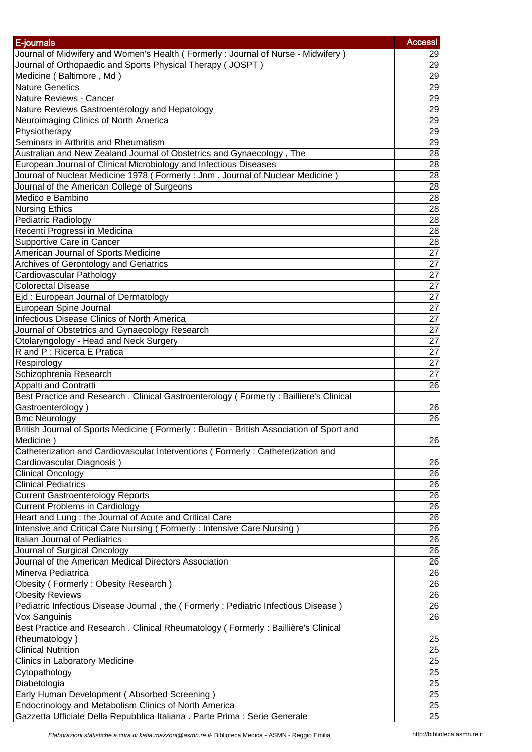| E-journals                                                                                              | <b>Accessi</b>        |
|---------------------------------------------------------------------------------------------------------|-----------------------|
| Journal of Midwifery and Women's Health (Formerly: Journal of Nurse - Midwifery)                        | 29                    |
| Journal of Orthopaedic and Sports Physical Therapy (JOSPT)                                              | 29                    |
| Medicine (Baltimore, Md)                                                                                | 29                    |
| <b>Nature Genetics</b>                                                                                  | 29                    |
| Nature Reviews - Cancer                                                                                 | 29                    |
| Nature Reviews Gastroenterology and Hepatology                                                          | 29                    |
| Neuroimaging Clinics of North America                                                                   | 29                    |
| Physiotherapy                                                                                           | 29                    |
| Seminars in Arthritis and Rheumatism                                                                    | 29                    |
| Australian and New Zealand Journal of Obstetrics and Gynaecology, The                                   | 28                    |
| European Journal of Clinical Microbiology and Infectious Diseases                                       | 28                    |
| Journal of Nuclear Medicine 1978 (Formerly: Jnm. Journal of Nuclear Medicine)                           | 28                    |
| Journal of the American College of Surgeons                                                             | 28                    |
| Medico e Bambino                                                                                        | 28                    |
| <b>Nursing Ethics</b>                                                                                   | 28                    |
| Pediatric Radiology                                                                                     | 28                    |
| Recenti Progressi in Medicina                                                                           | 28                    |
| Supportive Care in Cancer                                                                               | 28                    |
| American Journal of Sports Medicine                                                                     | $\overline{27}$       |
| <b>Archives of Gerontology and Geriatrics</b>                                                           | $\overline{27}$       |
| Cardiovascular Pathology                                                                                | $\overline{27}$       |
| <b>Colorectal Disease</b>                                                                               | $\overline{27}$       |
| Ejd: European Journal of Dermatology                                                                    | $\overline{27}$       |
| European Spine Journal                                                                                  | $\overline{27}$       |
| Infectious Disease Clinics of North America                                                             | $\overline{27}$       |
| Journal of Obstetrics and Gynaecology Research                                                          | $\overline{27}$       |
| Otolaryngology - Head and Neck Surgery                                                                  | $\overline{27}$       |
| R and P : Ricerca E Pratica                                                                             | $\overline{27}$       |
| Respirology                                                                                             | $\overline{27}$       |
| Schizophrenia Research                                                                                  | $\overline{27}$       |
| Appalti and Contratti                                                                                   | 26                    |
| Best Practice and Research . Clinical Gastroenterology ( Formerly : Bailliere's Clinical                |                       |
| Gastroenterology)                                                                                       |                       |
| <b>Bmc Neurology</b>                                                                                    | 26<br>$\overline{26}$ |
| British Journal of Sports Medicine (Formerly: Bulletin - British Association of Sport and               |                       |
| Medicine)                                                                                               | 26                    |
|                                                                                                         |                       |
| Catheterization and Cardiovascular Interventions (Formerly: Catheterization and                         |                       |
| Cardiovascular Diagnosis)<br><b>Clinical Oncology</b>                                                   | 26<br>26              |
| <b>Clinical Pediatrics</b>                                                                              | 26                    |
|                                                                                                         | 26                    |
| <b>Current Gastroenterology Reports</b>                                                                 | 26                    |
| <b>Current Problems in Cardiology</b>                                                                   |                       |
| Heart and Lung : the Journal of Acute and Critical Care                                                 | 26<br>26              |
| Intensive and Critical Care Nursing (Formerly: Intensive Care Nursing)<br>Italian Journal of Pediatrics |                       |
|                                                                                                         | 26                    |
| Journal of Surgical Oncology                                                                            | 26                    |
| Journal of the American Medical Directors Association<br>Minerva Pediatrica                             | 26                    |
|                                                                                                         | 26                    |
| Obesity (Formerly: Obesity Research)                                                                    | 26                    |
| <b>Obesity Reviews</b>                                                                                  | 26                    |
| Pediatric Infectious Disease Journal, the (Formerly: Pediatric Infectious Disease)                      | 26                    |
| Vox Sanguinis                                                                                           | 26                    |
| Best Practice and Research . Clinical Rheumatology (Formerly: Baillière's Clinical                      |                       |
| Rheumatology)                                                                                           | 25                    |
| <b>Clinical Nutrition</b>                                                                               | 25                    |
| Clinics in Laboratory Medicine                                                                          |                       |
| Cytopathology                                                                                           | $\frac{25}{25}$       |
| Diabetologia                                                                                            |                       |
| Early Human Development (Absorbed Screening)                                                            | 25                    |
| Endocrinology and Metabolism Clinics of North America                                                   | 25                    |
| Gazzetta Ufficiale Della Repubblica Italiana . Parte Prima : Serie Generale                             | 25                    |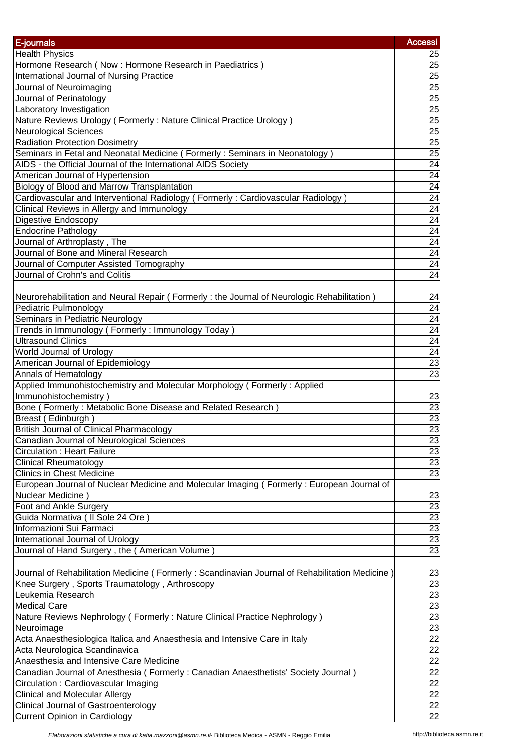| E-journals                                                                                     | <b>Accessi</b>    |
|------------------------------------------------------------------------------------------------|-------------------|
| <b>Health Physics</b>                                                                          | 25                |
| Hormone Research (Now: Hormone Research in Paediatrics)                                        | 25                |
| International Journal of Nursing Practice                                                      | 25                |
| Journal of Neuroimaging                                                                        | 25                |
| Journal of Perinatology                                                                        | 25                |
| Laboratory Investigation                                                                       | 25                |
| Nature Reviews Urology (Formerly: Nature Clinical Practice Urology)                            | 25                |
| <b>Neurological Sciences</b>                                                                   | 25                |
| <b>Radiation Protection Dosimetry</b>                                                          | $\overline{25}$   |
| Seminars in Fetal and Neonatal Medicine (Formerly: Seminars in Neonatology)                    | $\overline{25}$   |
| AIDS - the Official Journal of the International AIDS Society                                  | 24                |
| American Journal of Hypertension                                                               | 24                |
| Biology of Blood and Marrow Transplantation                                                    | 24                |
| Cardiovascular and Interventional Radiology (Formerly: Cardiovascular Radiology)               | 24                |
| Clinical Reviews in Allergy and Immunology                                                     | 24                |
| <b>Digestive Endoscopy</b>                                                                     | $\overline{24}$   |
| <b>Endocrine Pathology</b>                                                                     | $\overline{24}$   |
| Journal of Arthroplasty, The                                                                   | 24                |
| Journal of Bone and Mineral Research                                                           | 24                |
| Journal of Computer Assisted Tomography                                                        | 24                |
| Journal of Crohn's and Colitis                                                                 | $\overline{24}$   |
|                                                                                                |                   |
| Neurorehabilitation and Neural Repair (Formerly : the Journal of Neurologic Rehabilitation)    | 24                |
| Pediatric Pulmonology                                                                          | 24                |
| Seminars in Pediatric Neurology                                                                | 24                |
| Trends in Immunology (Formerly: Immunology Today)                                              | 24                |
| <b>Ultrasound Clinics</b>                                                                      | 24                |
| World Journal of Urology                                                                       | 24                |
| American Journal of Epidemiology                                                               | $\overline{23}$   |
| Annals of Hematology                                                                           | $\overline{23}$   |
| Applied Immunohistochemistry and Molecular Morphology (Formerly: Applied                       |                   |
| Immunohistochemistry)                                                                          | 23                |
| Bone (Formerly: Metabolic Bone Disease and Related Research                                    | $\overline{23}$   |
| Breast (Edinburgh)                                                                             | 23                |
| British Journal of Clinical Pharmacology                                                       | 23                |
| Canadian Journal of Neurological Sciences                                                      | 23                |
| <b>Circulation: Heart Failure</b>                                                              | 23                |
| <b>Clinical Rheumatology</b>                                                                   | $\frac{23}{23}$   |
| <b>Clinics in Chest Medicine</b>                                                               |                   |
| European Journal of Nuclear Medicine and Molecular Imaging (Formerly: European Journal of      |                   |
| Nuclear Medicine)                                                                              | 23                |
| Foot and Ankle Surgery                                                                         | ಜ್ರಜ್ಞಜ್ಞ         |
| Guida Normativa ( Il Sole 24 Ore )                                                             |                   |
| Informazioni Sui Farmaci                                                                       |                   |
| International Journal of Urology                                                               |                   |
| Journal of Hand Surgery, the (American Volume)                                                 |                   |
|                                                                                                |                   |
| Journal of Rehabilitation Medicine (Formerly: Scandinavian Journal of Rehabilitation Medicine) | 23                |
| Knee Surgery, Sports Traumatology, Arthroscopy                                                 | 23                |
| Leukemia Research                                                                              | 23                |
| <b>Medical Care</b>                                                                            | 23                |
| Nature Reviews Nephrology (Formerly: Nature Clinical Practice Nephrology)                      | 23                |
| Neuroimage                                                                                     | 23                |
| Acta Anaesthesiologica Italica and Anaesthesia and Intensive Care in Italy                     |                   |
| Acta Neurologica Scandinavica                                                                  |                   |
| Anaesthesia and Intensive Care Medicine                                                        |                   |
| Canadian Journal of Anesthesia (Formerly: Canadian Anaesthetists' Society Journal)             |                   |
| Circulation: Cardiovascular Imaging                                                            |                   |
| <b>Clinical and Molecular Allergy</b>                                                          |                   |
| <b>Clinical Journal of Gastroenterology</b>                                                    | <u>NNNNNNNNNN</u> |
| <b>Current Opinion in Cardiology</b>                                                           |                   |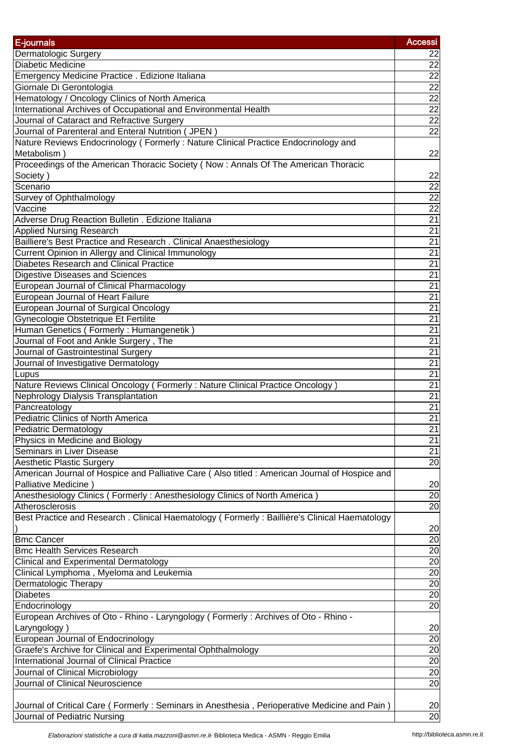| E-journals                                                                                                            | <b>Accessi</b>  |
|-----------------------------------------------------------------------------------------------------------------------|-----------------|
| Dermatologic Surgery                                                                                                  | 22              |
| Diabetic Medicine                                                                                                     | 22              |
| Emergency Medicine Practice . Edizione Italiana                                                                       | 22              |
| Giornale Di Gerontologia                                                                                              | 22              |
| Hematology / Oncology Clinics of North America                                                                        | $\frac{22}{22}$ |
| International Archives of Occupational and Environmental Health                                                       |                 |
| Journal of Cataract and Refractive Surgery                                                                            | 22              |
| Journal of Parenteral and Enteral Nutrition (JPEN)                                                                    | 22              |
| Nature Reviews Endocrinology (Formerly: Nature Clinical Practice Endocrinology and<br>Metabolism)                     | 22              |
| Proceedings of the American Thoracic Society (Now: Annals Of The American Thoracic                                    |                 |
| Society)                                                                                                              | 22              |
| Scenario                                                                                                              | 22              |
| Survey of Ophthalmology                                                                                               | $\overline{22}$ |
| Vaccine                                                                                                               | $\overline{22}$ |
| Adverse Drug Reaction Bulletin . Edizione Italiana                                                                    | $\overline{21}$ |
| <b>Applied Nursing Research</b>                                                                                       | $\overline{21}$ |
| Bailliere's Best Practice and Research . Clinical Anaesthesiology                                                     | $\overline{21}$ |
| Current Opinion in Allergy and Clinical Immunology                                                                    | $\overline{21}$ |
| <b>Diabetes Research and Clinical Practice</b>                                                                        | $\overline{21}$ |
| Digestive Diseases and Sciences                                                                                       | $\overline{21}$ |
| European Journal of Clinical Pharmacology                                                                             | 21              |
| European Journal of Heart Failure                                                                                     | $\overline{21}$ |
| <b>European Journal of Surgical Oncology</b>                                                                          | 21              |
| Gynecologie Obstetrique Et Fertilite                                                                                  | $\overline{21}$ |
| Human Genetics (Formerly: Humangenetik)                                                                               | $\overline{21}$ |
| Journal of Foot and Ankle Surgery, The                                                                                | $\overline{21}$ |
| Journal of Gastrointestinal Surgery                                                                                   | $\overline{21}$ |
| Journal of Investigative Dermatology                                                                                  | $\overline{21}$ |
| Lupus                                                                                                                 | $\overline{21}$ |
| Nature Reviews Clinical Oncology (Formerly: Nature Clinical Practice Oncology)                                        | $\overline{21}$ |
| <b>Nephrology Dialysis Transplantation</b>                                                                            | $\overline{21}$ |
| Pancreatology                                                                                                         | 21              |
| Pediatric Clinics of North America                                                                                    | $\overline{21}$ |
| Pediatric Dermatology                                                                                                 | $\overline{21}$ |
| Physics in Medicine and Biology                                                                                       | 21              |
| <b>Seminars in Liver Disease</b>                                                                                      | $\overline{21}$ |
| <b>Aesthetic Plastic Surgery</b>                                                                                      | $\overline{20}$ |
| American Journal of Hospice and Palliative Care (Also titled: American Journal of Hospice and<br>Palliative Medicine) | 20              |
| Anesthesiology Clinics (Formerly: Anesthesiology Clinics of North America)                                            | 20              |
| Atherosclerosis                                                                                                       | 20              |
| Best Practice and Research . Clinical Haematology (Formerly: Baillière's Clinical Haematology                         | 20              |
| <b>Bmc Cancer</b>                                                                                                     | 20              |
| <b>Bmc Health Services Research</b>                                                                                   | 20              |
| <b>Clinical and Experimental Dermatology</b>                                                                          | 20              |
| Clinical Lymphoma, Myeloma and Leukemia                                                                               | 20              |
| Dermatologic Therapy                                                                                                  | 20              |
| <b>Diabetes</b>                                                                                                       | $\overline{20}$ |
| Endocrinology                                                                                                         | $\overline{20}$ |
| European Archives of Oto - Rhino - Laryngology (Formerly: Archives of Oto - Rhino -                                   |                 |
| Laryngology)                                                                                                          | 20              |
| European Journal of Endocrinology                                                                                     | 20              |
| Graefe's Archive for Clinical and Experimental Ophthalmology                                                          | 20              |
| <b>International Journal of Clinical Practice</b>                                                                     | $\overline{20}$ |
| Journal of Clinical Microbiology                                                                                      | 20              |
| Journal of Clinical Neuroscience                                                                                      | 20              |
|                                                                                                                       |                 |
| Journal of Critical Care (Formerly: Seminars in Anesthesia, Perioperative Medicine and Pain)                          | 20              |
| Journal of Pediatric Nursing                                                                                          | $\overline{20}$ |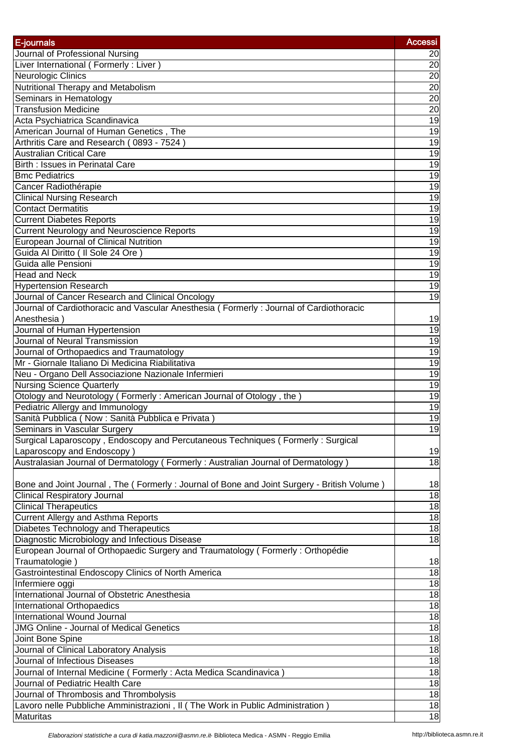| E-journals                                                                                 | <b>Accessi</b>  |
|--------------------------------------------------------------------------------------------|-----------------|
| Journal of Professional Nursing                                                            | 20              |
| Liver International (Formerly: Liver)                                                      | $\overline{20}$ |
| Neurologic Clinics                                                                         | 20              |
| Nutritional Therapy and Metabolism                                                         | 20              |
| Seminars in Hematology                                                                     | 20              |
| <b>Transfusion Medicine</b>                                                                | 20              |
| Acta Psychiatrica Scandinavica                                                             | 19              |
| American Journal of Human Genetics, The                                                    | 19              |
| Arthritis Care and Research (0893 - 7524)                                                  | 19              |
| <b>Australian Critical Care</b>                                                            | 19              |
| Birth : Issues in Perinatal Care                                                           |                 |
| <b>Bmc Pediatrics</b>                                                                      | 19<br>19        |
|                                                                                            |                 |
| Cancer Radiothérapie                                                                       | 19              |
| <b>Clinical Nursing Research</b>                                                           | 19              |
| <b>Contact Dermatitis</b>                                                                  | 19              |
| <b>Current Diabetes Reports</b>                                                            | 19              |
| <b>Current Neurology and Neuroscience Reports</b>                                          | 19              |
| <b>European Journal of Clinical Nutrition</b>                                              | 19              |
| Guida Al Diritto ( Il Sole 24 Ore )                                                        | 19              |
| Guida alle Pensioni                                                                        | 19              |
| <b>Head and Neck</b>                                                                       | 19              |
| <b>Hypertension Research</b>                                                               | 19              |
| Journal of Cancer Research and Clinical Oncology                                           | 19              |
| Journal of Cardiothoracic and Vascular Anesthesia (Formerly: Journal of Cardiothoracic     |                 |
| Anesthesia)                                                                                | 19              |
| Journal of Human Hypertension                                                              | 19              |
| Journal of Neural Transmission                                                             | 19              |
| Journal of Orthopaedics and Traumatology                                                   | 19              |
| Mr - Giornale Italiano Di Medicina Riabilitativa                                           | 19              |
| Neu - Organo Dell Associazione Nazionale Infermieri                                        | 19              |
| <b>Nursing Science Quarterly</b>                                                           | 19              |
| Otology and Neurotology (Formerly: American Journal of Otology, the                        | 19              |
| Pediatric Allergy and Immunology                                                           | 19              |
| Sanità Pubblica (Now : Sanità Pubblica e Privata)                                          | 19              |
| Seminars in Vascular Surgery                                                               | 19              |
| Surgical Laparoscopy, Endoscopy and Percutaneous Techniques (Formerly: Surgical            |                 |
| Laparoscopy and Endoscopy)                                                                 | 19              |
| Australasian Journal of Dermatology (Formerly: Australian Journal of Dermatology)          | $\frac{1}{8}$   |
|                                                                                            |                 |
| Bone and Joint Journal, The (Formerly: Journal of Bone and Joint Surgery - British Volume) | 18              |
| <b>Clinical Respiratory Journal</b>                                                        | 18              |
| <b>Clinical Therapeutics</b>                                                               | 18              |
|                                                                                            | 18              |
| <b>Current Allergy and Asthma Reports</b>                                                  |                 |
| Diabetes Technology and Therapeutics                                                       | 18              |
| Diagnostic Microbiology and Infectious Disease                                             | 18              |
| European Journal of Orthopaedic Surgery and Traumatology (Formerly: Orthopédie             |                 |
| Traumatologie)                                                                             | 18              |
| Gastrointestinal Endoscopy Clinics of North America                                        | 18              |
| Infermiere oggi                                                                            | 18              |
| International Journal of Obstetric Anesthesia                                              | 18              |
| International Orthopaedics                                                                 | 18              |
| International Wound Journal                                                                | 18              |
| <b>JMG Online - Journal of Medical Genetics</b>                                            | $\overline{18}$ |
| Joint Bone Spine                                                                           | 18              |
| Journal of Clinical Laboratory Analysis                                                    | $\overline{18}$ |
| Journal of Infectious Diseases                                                             | 18              |
| Journal of Internal Medicine (Formerly: Acta Medica Scandinavica)                          | 18              |
| Journal of Pediatric Health Care                                                           | 18              |
| Journal of Thrombosis and Thrombolysis                                                     | 18              |
| Lavoro nelle Pubbliche Amministrazioni, II (The Work in Public Administration)             | $\overline{18}$ |
| Maturitas                                                                                  | 18              |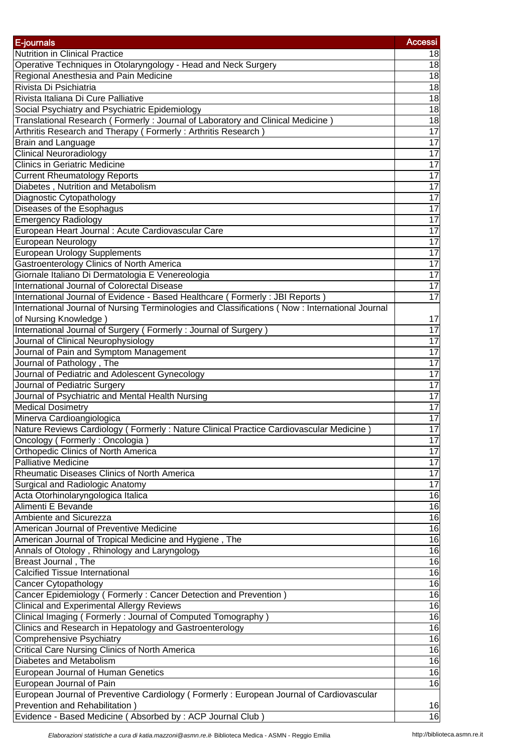| E-journals                                                                                                          | <b>Accessi</b>  |
|---------------------------------------------------------------------------------------------------------------------|-----------------|
| <b>Nutrition in Clinical Practice</b>                                                                               | 18              |
| Operative Techniques in Otolaryngology - Head and Neck Surgery                                                      | 18              |
| Regional Anesthesia and Pain Medicine                                                                               | $\frac{1}{8}$   |
| Rivista Di Psichiatria                                                                                              | $\frac{1}{8}$   |
| Rivista Italiana Di Cure Palliative                                                                                 | 18              |
| Social Psychiatry and Psychiatric Epidemiology                                                                      | 18              |
| Translational Research (Formerly: Journal of Laboratory and Clinical Medicine)                                      | 18              |
| Arthritis Research and Therapy (Formerly: Arthritis Research)                                                       | 17              |
| <b>Brain and Language</b>                                                                                           | $\overline{17}$ |
| <b>Clinical Neuroradiology</b>                                                                                      | 17              |
| <b>Clinics in Geriatric Medicine</b>                                                                                | 17              |
| <b>Current Rheumatology Reports</b>                                                                                 | 17              |
| Diabetes, Nutrition and Metabolism                                                                                  | 17              |
| Diagnostic Cytopathology                                                                                            | 17              |
| Diseases of the Esophagus                                                                                           | 17              |
| <b>Emergency Radiology</b>                                                                                          | 17              |
| European Heart Journal : Acute Cardiovascular Care                                                                  | 17              |
| European Neurology                                                                                                  | $\overline{17}$ |
| <b>European Urology Supplements</b>                                                                                 | 17              |
| Gastroenterology Clinics of North America                                                                           | 17              |
| Giornale Italiano Di Dermatologia E Venereologia                                                                    | 17              |
| International Journal of Colorectal Disease                                                                         | $\overline{17}$ |
| International Journal of Evidence - Based Healthcare (Formerly: JBI Reports)                                        | 17              |
| International Journal of Nursing Terminologies and Classifications (Now: International Journal                      |                 |
| of Nursing Knowledge)                                                                                               | 17              |
| International Journal of Surgery (Formerly: Journal of Surgery)                                                     | 17              |
| Journal of Clinical Neurophysiology                                                                                 | 17              |
| Journal of Pain and Symptom Management                                                                              | $\overline{17}$ |
| Journal of Pathology, The                                                                                           | 17              |
| Journal of Pediatric and Adolescent Gynecology                                                                      | 17              |
| Journal of Pediatric Surgery                                                                                        | 17              |
| Journal of Psychiatric and Mental Health Nursing                                                                    | 17              |
| <b>Medical Dosimetry</b>                                                                                            | $\overline{17}$ |
|                                                                                                                     | 17              |
| Minerva Cardioangiologica<br>Nature Reviews Cardiology (Formerly: Nature Clinical Practice Cardiovascular Medicine) | $\overline{17}$ |
|                                                                                                                     |                 |
| Oncology (Formerly: Oncologia)                                                                                      | 17<br>17        |
| Orthopedic Clinics of North America<br><b>Palliative Medicine</b>                                                   | 17              |
| Rheumatic Diseases Clinics of North America                                                                         | 17              |
| Surgical and Radiologic Anatomy                                                                                     | 17              |
|                                                                                                                     |                 |
| Acta Otorhinolaryngologica Italica<br>Alimenti E Bevande                                                            | 16              |
|                                                                                                                     | 16              |
| Ambiente and Sicurezza                                                                                              | 16              |
| American Journal of Preventive Medicine                                                                             | 16              |
| American Journal of Tropical Medicine and Hygiene, The                                                              | $\overline{16}$ |
| Annals of Otology, Rhinology and Laryngology                                                                        | $\overline{16}$ |
| Breast Journal, The                                                                                                 | $\overline{16}$ |
| <b>Calcified Tissue International</b>                                                                               | $\overline{16}$ |
| Cancer Cytopathology                                                                                                | $\overline{16}$ |
| Cancer Epidemiology (Formerly: Cancer Detection and Prevention)                                                     | 16              |
| <b>Clinical and Experimental Allergy Reviews</b>                                                                    | 16              |
| Clinical Imaging (Formerly: Journal of Computed Tomography)                                                         | 16              |
| Clinics and Research in Hepatology and Gastroenterology                                                             | 16              |
| <b>Comprehensive Psychiatry</b>                                                                                     | 16              |
| <b>Critical Care Nursing Clinics of North America</b>                                                               | 16              |
| Diabetes and Metabolism                                                                                             | 16              |
| European Journal of Human Genetics                                                                                  | 16              |
| European Journal of Pain                                                                                            | 16              |
| European Journal of Preventive Cardiology (Formerly: European Journal of Cardiovascular                             |                 |
| Prevention and Rehabilitation)                                                                                      | 16              |
| Evidence - Based Medicine (Absorbed by : ACP Journal Club)                                                          | $\overline{16}$ |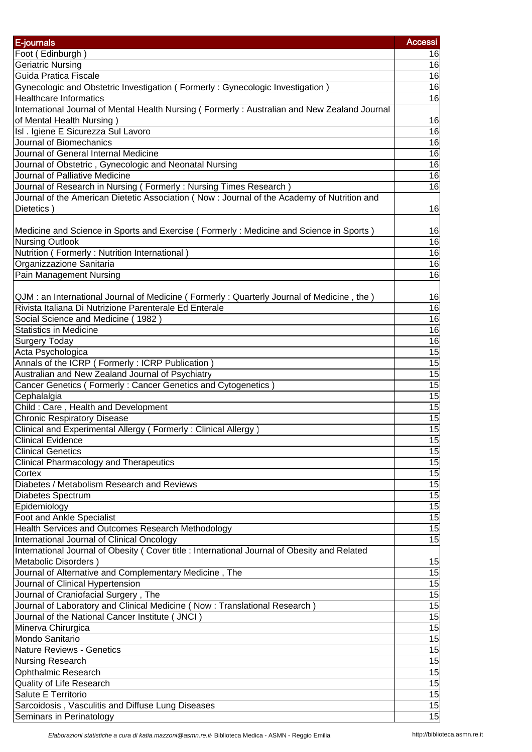| E-journals                                                                                                                                 | <b>Accessi</b>  |
|--------------------------------------------------------------------------------------------------------------------------------------------|-----------------|
| Foot (Edinburgh)                                                                                                                           | 16              |
| Geriatric Nursing                                                                                                                          | 16              |
| Guida Pratica Fiscale                                                                                                                      | 16              |
| Gynecologic and Obstetric Investigation ( Formerly : Gynecologic Investigation )                                                           | 16              |
| <b>Healthcare Informatics</b>                                                                                                              | 16              |
| International Journal of Mental Health Nursing (Formerly: Australian and New Zealand Journal                                               |                 |
| of Mental Health Nursing)                                                                                                                  | 16              |
| Isl . Igiene E Sicurezza Sul Lavoro                                                                                                        | $\overline{16}$ |
| Journal of Biomechanics                                                                                                                    | $\overline{16}$ |
| Journal of General Internal Medicine                                                                                                       | $\overline{16}$ |
| Journal of Obstetric, Gynecologic and Neonatal Nursing                                                                                     | $\overline{6}$  |
| Journal of Palliative Medicine                                                                                                             | $\overline{16}$ |
| Journal of Research in Nursing (Formerly: Nursing Times Research)                                                                          | $\overline{6}$  |
| Journal of the American Dietetic Association (Now : Journal of the Academy of Nutrition and                                                |                 |
| Dietetics)                                                                                                                                 | 16              |
|                                                                                                                                            |                 |
| Medicine and Science in Sports and Exercise (Formerly: Medicine and Science in Sports)                                                     | 16              |
| <b>Nursing Outlook</b>                                                                                                                     | $\overline{16}$ |
| Nutrition (Formerly: Nutrition International)                                                                                              | 16              |
| Organizzazione Sanitaria                                                                                                                   | 16              |
| Pain Management Nursing                                                                                                                    | 16              |
|                                                                                                                                            |                 |
| QJM: an International Journal of Medicine (Formerly: Quarterly Journal of Medicine, the)                                                   | 16              |
| Rivista Italiana Di Nutrizione Parenterale Ed Enterale                                                                                     | 16              |
| Social Science and Medicine (1982)                                                                                                         | $\overline{16}$ |
| <b>Statistics in Medicine</b>                                                                                                              | $\overline{16}$ |
| <b>Surgery Today</b>                                                                                                                       | $\overline{16}$ |
| Acta Psychologica                                                                                                                          | 15              |
| Annals of the ICRP (Formerly: ICRP Publication)                                                                                            | 15              |
| Australian and New Zealand Journal of Psychiatry                                                                                           | $\overline{15}$ |
| Cancer Genetics (Formerly: Cancer Genetics and Cytogenetics)                                                                               | 15              |
| Cephalalgia                                                                                                                                | 15              |
| Child: Care, Health and Development                                                                                                        | 15              |
| <b>Chronic Respiratory Disease</b>                                                                                                         | 15              |
| Clinical and Experimental Allergy (Formerly: Clinical Allergy)                                                                             | 15              |
| <b>Clinical Evidence</b>                                                                                                                   | 15              |
| <b>Clinical Genetics</b>                                                                                                                   | 15              |
| <b>Clinical Pharmacology and Therapeutics</b>                                                                                              | 15              |
| Cortex                                                                                                                                     | 15              |
| Diabetes / Metabolism Research and Reviews                                                                                                 | 15              |
| Diabetes Spectrum                                                                                                                          | 15              |
| Epidemiology                                                                                                                               | 15              |
| Foot and Ankle Specialist                                                                                                                  | 15              |
|                                                                                                                                            | 15              |
| Health Services and Outcomes Research Methodology                                                                                          |                 |
| International Journal of Clinical Oncology<br>International Journal of Obesity (Cover title : International Journal of Obesity and Related | $\overline{15}$ |
|                                                                                                                                            |                 |
| Metabolic Disorders)                                                                                                                       | 15              |
| Journal of Alternative and Complementary Medicine, The                                                                                     | 15              |
| Journal of Clinical Hypertension                                                                                                           | 15              |
| Journal of Craniofacial Surgery, The                                                                                                       | 15              |
| Journal of Laboratory and Clinical Medicine (Now: Translational Research)                                                                  | 15              |
| Journal of the National Cancer Institute (JNCI)                                                                                            | 15              |
| Minerva Chirurgica                                                                                                                         | 15              |
| Mondo Sanitario                                                                                                                            | 15              |
| <b>Nature Reviews - Genetics</b>                                                                                                           | $\overline{15}$ |
| <b>Nursing Research</b>                                                                                                                    | 15              |
| Ophthalmic Research                                                                                                                        | 15              |
| <b>Quality of Life Research</b>                                                                                                            | 15              |
| Salute E Territorio                                                                                                                        | $\overline{15}$ |
| Sarcoidosis, Vasculitis and Diffuse Lung Diseases                                                                                          | 15              |
| Seminars in Perinatology                                                                                                                   | 15              |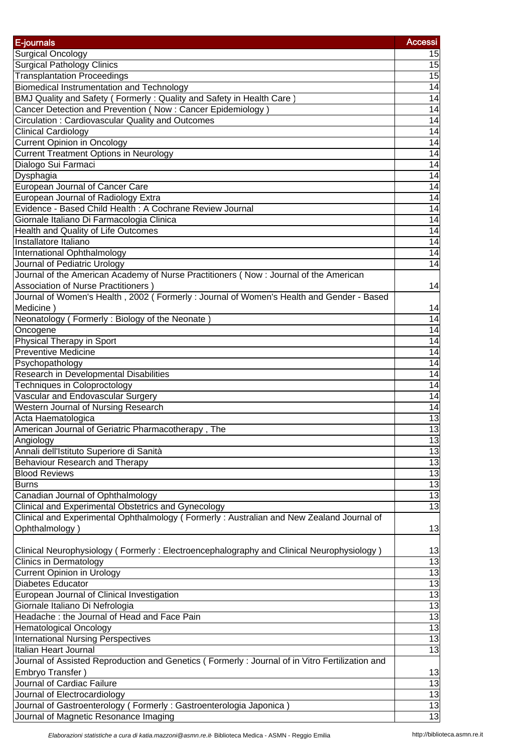| E-journals                                                                                     | <b>Accessi</b>        |
|------------------------------------------------------------------------------------------------|-----------------------|
| Surgical Oncology                                                                              | 15                    |
| <b>Surgical Pathology Clinics</b>                                                              | 15                    |
| <b>Transplantation Proceedings</b>                                                             | 15                    |
| Biomedical Instrumentation and Technology                                                      | $\overline{14}$       |
| BMJ Quality and Safety (Formerly: Quality and Safety in Health Care)                           | 14                    |
| Cancer Detection and Prevention (Now: Cancer Epidemiology)                                     | 14                    |
| Circulation: Cardiovascular Quality and Outcomes                                               | 14                    |
| <b>Clinical Cardiology</b>                                                                     | $\overline{14}$       |
| <b>Current Opinion in Oncology</b>                                                             | $\overline{14}$       |
| <b>Current Treatment Options in Neurology</b>                                                  | 14                    |
| Dialogo Sui Farmaci                                                                            | $\overline{14}$       |
| Dysphagia                                                                                      | $\overline{14}$       |
| European Journal of Cancer Care                                                                | 14                    |
| European Journal of Radiology Extra                                                            | $\overline{14}$       |
| Evidence - Based Child Health : A Cochrane Review Journal                                      | $\overline{14}$       |
| Giornale Italiano Di Farmacologia Clinica                                                      | $\overline{14}$       |
| Health and Quality of Life Outcomes                                                            | 14                    |
| Installatore Italiano                                                                          | 14                    |
| International Ophthalmology                                                                    | 14                    |
| Journal of Pediatric Urology                                                                   | $\overline{14}$       |
| Journal of the American Academy of Nurse Practitioners (Now: Journal of the American           |                       |
| Association of Nurse Practitioners)                                                            | 14                    |
| Journal of Women's Health, 2002 (Formerly: Journal of Women's Health and Gender - Based        |                       |
| Medicine)                                                                                      | 14                    |
| Neonatology (Formerly: Biology of the Neonate)                                                 | $\overline{14}$       |
| Oncogene                                                                                       | 14                    |
| <b>Physical Therapy in Sport</b>                                                               | 14                    |
| <b>Preventive Medicine</b>                                                                     | $\overline{14}$       |
| Psychopathology                                                                                | 14                    |
| Research in Developmental Disabilities                                                         | $\overline{14}$       |
| <b>Techniques in Coloproctology</b>                                                            | $\overline{14}$       |
| Vascular and Endovascular Surgery                                                              | 14                    |
| Western Journal of Nursing Research                                                            | 14                    |
| Acta Haematologica                                                                             | 13                    |
| American Journal of Geriatric Pharmacotherapy, The                                             | 13                    |
| Angiology                                                                                      | 13                    |
| Annali dell'Istituto Superiore di Sanità                                                       | 13                    |
| Behaviour Research and Therapy                                                                 | 13                    |
| <b>Blood Reviews</b>                                                                           | 13                    |
| <b>Burns</b>                                                                                   |                       |
| Canadian Journal of Ophthalmology                                                              | $\frac{13}{13}$       |
| Clinical and Experimental Obstetrics and Gynecology                                            |                       |
| Clinical and Experimental Ophthalmology (Formerly: Australian and New Zealand Journal of       |                       |
| Ophthalmology)                                                                                 | 13                    |
|                                                                                                |                       |
| Clinical Neurophysiology (Formerly: Electroencephalography and Clinical Neurophysiology)       | 13                    |
| <b>Clinics in Dermatology</b>                                                                  | 13                    |
| <b>Current Opinion in Urology</b><br><b>Diabetes Educator</b>                                  | 13                    |
|                                                                                                | 13                    |
| European Journal of Clinical Investigation                                                     | 13<br>13              |
| Giornale Italiano Di Nefrologia<br>Headache: the Journal of Head and Face Pain                 | 13                    |
|                                                                                                | 13                    |
| <b>Hematological Oncology</b><br><b>International Nursing Perspectives</b>                     | 13                    |
| Italian Heart Journal                                                                          | 13                    |
| Journal of Assisted Reproduction and Genetics (Formerly: Journal of in Vitro Fertilization and |                       |
| Embryo Transfer)                                                                               |                       |
| Journal of Cardiac Failure                                                                     | 13<br>$\overline{13}$ |
| Journal of Electrocardiology                                                                   | 13                    |
| Journal of Gastroenterology (Formerly: Gastroenterologia Japonica)                             | 13                    |
| Journal of Magnetic Resonance Imaging                                                          | 13                    |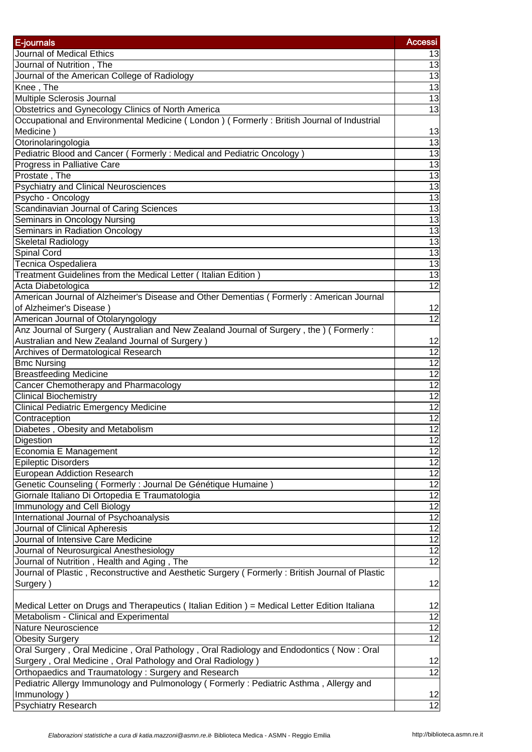| E-journals                                                                                     | <b>Accessi</b>  |
|------------------------------------------------------------------------------------------------|-----------------|
| Journal of Medical Ethics                                                                      | 13              |
|                                                                                                | 13              |
| Journal of Nutrition, The                                                                      | 13              |
| Journal of the American College of Radiology                                                   | $\overline{13}$ |
| Knee, The<br>Multiple Sclerosis Journal                                                        | 13              |
|                                                                                                |                 |
| Obstetrics and Gynecology Clinics of North America                                             | $\overline{3}$  |
| Occupational and Environmental Medicine (London) (Formerly: British Journal of Industrial      |                 |
| Medicine)                                                                                      | 13              |
| Otorinolaringologia                                                                            | $\overline{13}$ |
| Pediatric Blood and Cancer (Formerly: Medical and Pediatric Oncology)                          | 13              |
| Progress in Palliative Care                                                                    | $\overline{13}$ |
| Prostate, The                                                                                  | $\overline{3}$  |
| <b>Psychiatry and Clinical Neurosciences</b>                                                   | $\overline{13}$ |
| Psycho - Oncology                                                                              | $\overline{13}$ |
| Scandinavian Journal of Caring Sciences                                                        | $\overline{3}$  |
| Seminars in Oncology Nursing                                                                   | $\overline{13}$ |
| Seminars in Radiation Oncology                                                                 | $\overline{13}$ |
| <b>Skeletal Radiology</b>                                                                      | $\overline{13}$ |
| Spinal Cord                                                                                    | $\overline{13}$ |
| Tecnica Ospedaliera                                                                            | 13              |
| Treatment Guidelines from the Medical Letter (Italian Edition)                                 | 13              |
| Acta Diabetologica                                                                             | $\overline{12}$ |
| American Journal of Alzheimer's Disease and Other Dementias (Formerly: American Journal        |                 |
| of Alzheimer's Disease)                                                                        | 12              |
| American Journal of Otolaryngology                                                             | $\overline{12}$ |
| Anz Journal of Surgery (Australian and New Zealand Journal of Surgery, the ) (Formerly:        |                 |
| Australian and New Zealand Journal of Surgery)                                                 | 12              |
| Archives of Dermatological Research                                                            | $\overline{12}$ |
| <b>Bmc Nursing</b>                                                                             | $\overline{12}$ |
| <b>Breastfeeding Medicine</b>                                                                  | $\overline{12}$ |
| Cancer Chemotherapy and Pharmacology                                                           | $\overline{12}$ |
| <b>Clinical Biochemistry</b>                                                                   | $\overline{12}$ |
| <b>Clinical Pediatric Emergency Medicine</b>                                                   | 12              |
| Contraception                                                                                  | $\overline{12}$ |
| Diabetes, Obesity and Metabolism                                                               | 12              |
| Digestion                                                                                      | 12              |
| Economia E Management                                                                          | 12              |
| <b>Epileptic Disorders</b>                                                                     | $\overline{12}$ |
| <b>European Addiction Research</b>                                                             | $\overline{12}$ |
| Genetic Counseling (Formerly: Journal De Génétique Humaine)                                    | $\overline{12}$ |
| Giornale Italiano Di Ortopedia E Traumatologia                                                 | $\overline{12}$ |
| <b>Immunology and Cell Biology</b>                                                             | $\overline{12}$ |
| International Journal of Psychoanalysis                                                        | $\overline{12}$ |
| Journal of Clinical Apheresis                                                                  | $\overline{12}$ |
| Journal of Intensive Care Medicine                                                             |                 |
|                                                                                                | $\overline{12}$ |
| Journal of Neurosurgical Anesthesiology                                                        | $\overline{12}$ |
| Journal of Nutrition, Health and Aging, The                                                    | $\overline{12}$ |
| Journal of Plastic, Reconstructive and Aesthetic Surgery (Formerly: British Journal of Plastic |                 |
| Surgery)                                                                                       | 12              |
|                                                                                                |                 |
| Medical Letter on Drugs and Therapeutics (Italian Edition) = Medical Letter Edition Italiana   | 12              |
| Metabolism - Clinical and Experimental                                                         | 12              |
| Nature Neuroscience                                                                            | $\overline{12}$ |
| <b>Obesity Surgery</b>                                                                         | $\overline{12}$ |
| Oral Surgery, Oral Medicine, Oral Pathology, Oral Radiology and Endodontics (Now: Oral         |                 |
| Surgery, Oral Medicine, Oral Pathology and Oral Radiology)                                     | 12              |
| Orthopaedics and Traumatology: Surgery and Research                                            | 12              |
| Pediatric Allergy Immunology and Pulmonology (Formerly: Pediatric Asthma, Allergy and          |                 |
| Immunology)                                                                                    | 12              |
| <b>Psychiatry Research</b>                                                                     | $\overline{12}$ |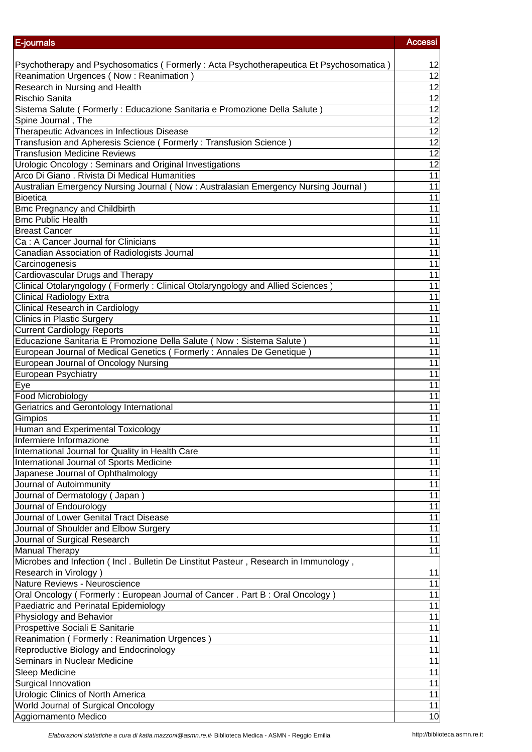| E-journals                                                                             | <b>Accessi</b>  |
|----------------------------------------------------------------------------------------|-----------------|
|                                                                                        |                 |
| Psychotherapy and Psychosomatics (Formerly: Acta Psychotherapeutica Et Psychosomatica) | 12              |
| Reanimation Urgences (Now: Reanimation)                                                | 12              |
| Research in Nursing and Health                                                         | $\overline{12}$ |
| Rischio Sanita                                                                         | $\overline{12}$ |
| Sistema Salute (Formerly: Educazione Sanitaria e Promozione Della Salute)              | 12              |
| Spine Journal, The                                                                     | $\overline{12}$ |
| Therapeutic Advances in Infectious Disease                                             | $\overline{12}$ |
| Transfusion and Apheresis Science (Formerly: Transfusion Science)                      | 12              |
| <b>Transfusion Medicine Reviews</b>                                                    | 12              |
| Urologic Oncology: Seminars and Original Investigations                                | $\overline{12}$ |
| Arco Di Giano . Rivista Di Medical Humanities                                          | $\overline{11}$ |
| Australian Emergency Nursing Journal (Now: Australasian Emergency Nursing Journal)     | $\overline{11}$ |
| Bioetica                                                                               | $\overline{11}$ |
| <b>Bmc Pregnancy and Childbirth</b>                                                    | 11              |
| <b>Bmc Public Health</b>                                                               | 11              |
| <b>Breast Cancer</b>                                                                   | 11              |
| Ca: A Cancer Journal for Clinicians                                                    | $\overline{11}$ |
| Canadian Association of Radiologists Journal                                           | 11              |
| Carcinogenesis                                                                         | 11              |
| <b>Cardiovascular Drugs and Therapy</b>                                                | $\overline{11}$ |
| Clinical Otolaryngology (Formerly: Clinical Otolaryngology and Allied Sciences)        | $\overline{11}$ |
| <b>Clinical Radiology Extra</b>                                                        | 11              |
| <b>Clinical Research in Cardiology</b>                                                 | 11              |
| <b>Clinics in Plastic Surgery</b>                                                      | 11              |
| <b>Current Cardiology Reports</b>                                                      | 11              |
| Educazione Sanitaria E Promozione Della Salute (Now : Sistema Salute)                  | 11              |
| European Journal of Medical Genetics (Formerly: Annales De Genetique)                  | $\overline{11}$ |
| European Journal of Oncology Nursing                                                   | 11              |
| European Psychiatry                                                                    | $\overline{11}$ |
| Eye                                                                                    | $\overline{11}$ |
| Food Microbiology                                                                      | $\overline{11}$ |
| Geriatrics and Gerontology International                                               | 11              |
| Gimpios                                                                                | 11              |
| Human and Experimental Toxicology                                                      | 11              |
| Infermiere Informazione                                                                | 11              |
| International Journal for Quality in Health Care                                       | 11              |
| International Journal of Sports Medicine                                               | $\overline{11}$ |
| Japanese Journal of Ophthalmology                                                      | $\overline{11}$ |
| Journal of Autoimmunity                                                                | 11              |
| Journal of Dermatology (Japan)                                                         | 11              |
| Journal of Endourology                                                                 | 11              |
| Journal of Lower Genital Tract Disease                                                 | 11              |
| Journal of Shoulder and Elbow Surgery                                                  | 11              |
| Journal of Surgical Research                                                           | 11              |
| <b>Manual Therapy</b>                                                                  | $\overline{11}$ |
| Microbes and Infection (Incl. Bulletin De Linstitut Pasteur, Research in Immunology,   |                 |
| Research in Virology)                                                                  | 11              |
| Nature Reviews - Neuroscience                                                          | $\overline{11}$ |
| Oral Oncology (Formerly: European Journal of Cancer . Part B: Oral Oncology)           | $\overline{11}$ |
| Paediatric and Perinatal Epidemiology                                                  | $\overline{11}$ |
| Physiology and Behavior                                                                | 11              |
| Prospettive Sociali E Sanitarie                                                        | 11              |
| Reanimation (Formerly: Reanimation Urgences)                                           | 11              |
| Reproductive Biology and Endocrinology                                                 | 11              |
| Seminars in Nuclear Medicine                                                           | 11              |
| Sleep Medicine                                                                         | 11              |
| Surgical Innovation                                                                    | 11              |
| <b>Urologic Clinics of North America</b>                                               | $\overline{11}$ |
| World Journal of Surgical Oncology                                                     | 11              |
| Aggiornamento Medico                                                                   | 10              |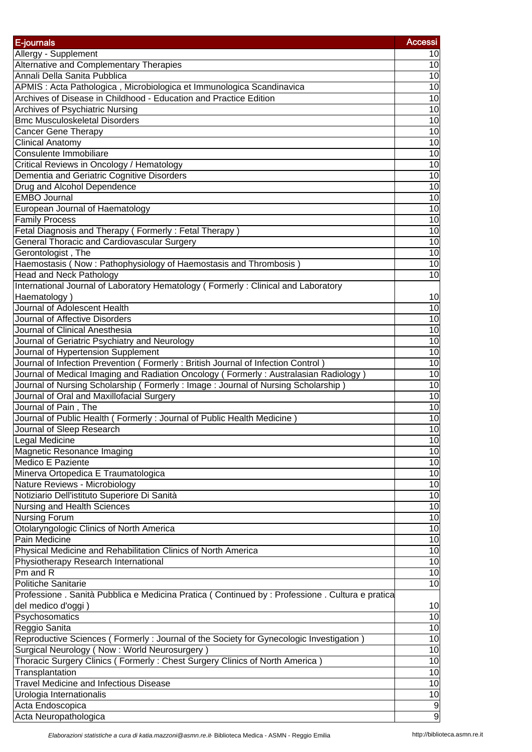| E-journals                                                                                       | <b>Accessi</b>  |
|--------------------------------------------------------------------------------------------------|-----------------|
| Allergy - Supplement                                                                             | 10              |
| Alternative and Complementary Therapies                                                          | 10              |
| Annali Della Sanita Pubblica                                                                     | 10              |
| APMIS : Acta Pathologica, Microbiologica et Immunologica Scandinavica                            | 10              |
| Archives of Disease in Childhood - Education and Practice Edition                                | 10              |
| <b>Archives of Psychiatric Nursing</b>                                                           | 10              |
| <b>Bmc Musculoskeletal Disorders</b>                                                             | 10              |
| <b>Cancer Gene Therapy</b>                                                                       | 10              |
| <b>Clinical Anatomy</b>                                                                          | 10              |
| Consulente Immobiliare                                                                           | 10              |
| Critical Reviews in Oncology / Hematology                                                        | 10              |
| Dementia and Geriatric Cognitive Disorders                                                       | 10              |
| Drug and Alcohol Dependence                                                                      | 10              |
| <b>EMBO</b> Journal                                                                              | 10              |
| European Journal of Haematology                                                                  | 10              |
| <b>Family Process</b>                                                                            | 10              |
| Fetal Diagnosis and Therapy (Formerly: Fetal Therapy)                                            | $\overline{10}$ |
| <b>General Thoracic and Cardiovascular Surgery</b>                                               | 10              |
| Gerontologist, The                                                                               | 10              |
| Haemostasis (Now: Pathophysiology of Haemostasis and Thrombosis)                                 | 10              |
| <b>Head and Neck Pathology</b>                                                                   | 10              |
| International Journal of Laboratory Hematology (Formerly: Clinical and Laboratory                |                 |
| Haematology)                                                                                     | 10              |
| Journal of Adolescent Health                                                                     | 10              |
| Journal of Affective Disorders                                                                   | 10              |
| Journal of Clinical Anesthesia                                                                   | 10              |
| Journal of Geriatric Psychiatry and Neurology                                                    | 10              |
| Journal of Hypertension Supplement                                                               | 10              |
| Journal of Infection Prevention (Formerly: British Journal of Infection Control)                 | $\overline{10}$ |
| Journal of Medical Imaging and Radiation Oncology (Formerly: Australasian Radiology)             | 10              |
| Journal of Nursing Scholarship (Formerly: Image: Journal of Nursing Scholarship)                 | 10              |
| Journal of Oral and Maxillofacial Surgery                                                        | 10              |
| Journal of Pain, The                                                                             | 10              |
| Journal of Public Health (Formerly: Journal of Public Health Medicine)                           | 10              |
| Journal of Sleep Research                                                                        | 10              |
| Legal Medicine                                                                                   | 10              |
| Magnetic Resonance Imaging                                                                       | 10              |
| Medico E Paziente                                                                                | 10              |
| Minerva Ortopedica E Traumatologica                                                              | 10              |
| Nature Reviews - Microbiology                                                                    | 10              |
| Notiziario Dell'istituto Superiore Di Sanità                                                     | 10              |
| Nursing and Health Sciences                                                                      | 10              |
| <b>Nursing Forum</b>                                                                             | 10              |
| Otolaryngologic Clinics of North America                                                         | 10              |
| Pain Medicine                                                                                    | $\overline{10}$ |
| Physical Medicine and Rehabilitation Clinics of North America                                    | $\overline{10}$ |
| Physiotherapy Research International                                                             | $\overline{10}$ |
| Pm and R                                                                                         | $\overline{10}$ |
| <b>Politiche Sanitarie</b>                                                                       | $\overline{10}$ |
| Professione . Sanità Pubblica e Medicina Pratica (Continued by : Professione . Cultura e pratica |                 |
| del medico d'oggi)                                                                               | 10              |
| Psychosomatics                                                                                   | $\overline{10}$ |
| Reggio Sanita                                                                                    | 10              |
| Reproductive Sciences (Formerly: Journal of the Society for Gynecologic Investigation)           | 10              |
| Surgical Neurology (Now: World Neurosurgery)                                                     | 10              |
| Thoracic Surgery Clinics (Formerly: Chest Surgery Clinics of North America)                      | 10              |
| Transplantation                                                                                  | 10              |
| <b>Travel Medicine and Infectious Disease</b>                                                    | $\overline{10}$ |
| Urologia Internationalis                                                                         | 10              |
| Acta Endoscopica                                                                                 | o               |
| Acta Neuropathologica                                                                            | 9               |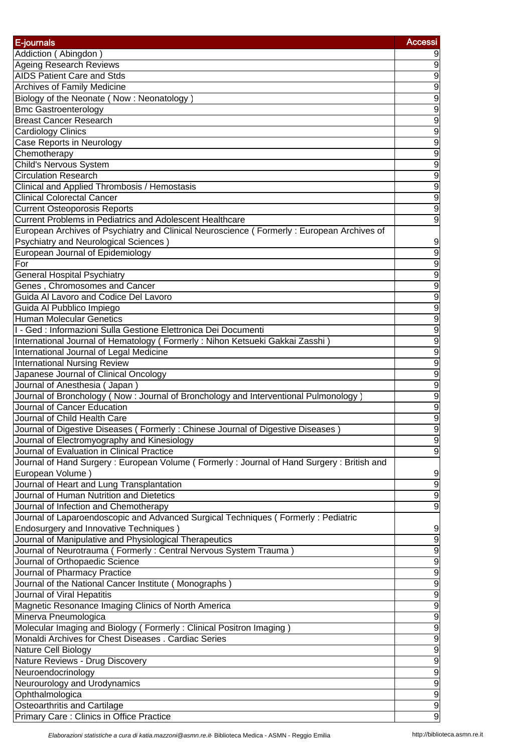| E-journals                                                                                | <b>Accessi</b>   |
|-------------------------------------------------------------------------------------------|------------------|
| Addiction (Abingdon)                                                                      | 9                |
| <b>Ageing Research Reviews</b>                                                            | 9                |
| AIDS Patient Care and Stds                                                                | 9                |
| Archives of Family Medicine                                                               | $\overline{9}$   |
| Biology of the Neonate (Now: Neonatology)                                                 | $\overline{9}$   |
| <b>Bmc Gastroenterology</b>                                                               | $\overline{9}$   |
| <b>Breast Cancer Research</b>                                                             | $\overline{9}$   |
| <b>Cardiology Clinics</b>                                                                 | $\overline{9}$   |
| <b>Case Reports in Neurology</b>                                                          | $\overline{9}$   |
| Chemotherapy                                                                              | $\overline{9}$   |
| <b>Child's Nervous System</b>                                                             | $\overline{9}$   |
| <b>Circulation Research</b>                                                               | $\overline{9}$   |
| Clinical and Applied Thrombosis / Hemostasis                                              | $\overline{9}$   |
| <b>Clinical Colorectal Cancer</b>                                                         | $\overline{9}$   |
| <b>Current Osteoporosis Reports</b>                                                       | $\overline{9}$   |
| Current Problems in Pediatrics and Adolescent Healthcare                                  | $\overline{9}$   |
| European Archives of Psychiatry and Clinical Neuroscience (Formerly: European Archives of |                  |
| Psychiatry and Neurological Sciences)                                                     | 9                |
| European Journal of Epidemiology                                                          | $\overline{9}$   |
| For                                                                                       | 9                |
| <b>General Hospital Psychiatry</b>                                                        | 9                |
| Genes, Chromosomes and Cancer                                                             | 9                |
| Guida Al Lavoro and Codice Del Lavoro                                                     | $\overline{9}$   |
| Guida Al Pubblico Impiego                                                                 | $\overline{9}$   |
| <b>Human Molecular Genetics</b>                                                           | $\overline{9}$   |
| I - Ged : Informazioni Sulla Gestione Elettronica Dei Documenti                           | $\overline{9}$   |
| International Journal of Hematology (Formerly: Nihon Ketsueki Gakkai Zasshi)              | $\overline{9}$   |
| International Journal of Legal Medicine                                                   | $\overline{9}$   |
| <b>International Nursing Review</b>                                                       | $\overline{9}$   |
| Japanese Journal of Clinical Oncology                                                     | $\overline{9}$   |
| Journal of Anesthesia (Japan)                                                             | $\overline{9}$   |
| Journal of Bronchology (Now: Journal of Bronchology and Interventional Pulmonology        | $\overline{9}$   |
| Journal of Cancer Education                                                               | $\overline{9}$   |
| Journal of Child Health Care                                                              | $\overline{9}$   |
| Journal of Digestive Diseases (Formerly: Chinese Journal of Digestive Diseases)           | 9                |
| Journal of Electromyography and Kinesiology                                               | $\boldsymbol{9}$ |
| Journal of Evaluation in Clinical Practice                                                | $\boldsymbol{9}$ |
| Journal of Hand Surgery: European Volume (Formerly: Journal of Hand Surgery: British and  |                  |
| European Volume)                                                                          | 9                |
| Journal of Heart and Lung Transplantation                                                 | 9                |
| Journal of Human Nutrition and Dietetics                                                  | $\overline{9}$   |
| Journal of Infection and Chemotherapy                                                     | $\overline{9}$   |
| Journal of Laparoendoscopic and Advanced Surgical Techniques (Formerly: Pediatric         |                  |
| Endosurgery and Innovative Techniques)                                                    | 9                |
| Journal of Manipulative and Physiological Therapeutics                                    | $\overline{9}$   |
| Journal of Neurotrauma (Formerly: Central Nervous System Trauma)                          | $\overline{9}$   |
| Journal of Orthopaedic Science                                                            | $\overline{9}$   |
| Journal of Pharmacy Practice                                                              | $\overline{9}$   |
| Journal of the National Cancer Institute (Monographs)                                     | $\overline{9}$   |
| Journal of Viral Hepatitis                                                                | $\overline{9}$   |
| Magnetic Resonance Imaging Clinics of North America                                       | $\overline{9}$   |
| Minerva Pneumologica                                                                      | 9                |
| Molecular Imaging and Biology (Formerly: Clinical Positron Imaging)                       | $\overline{9}$   |
| Monaldi Archives for Chest Diseases . Cardiac Series                                      | 9                |
| Nature Cell Biology                                                                       | $\overline{9}$   |
| Nature Reviews - Drug Discovery                                                           | $\overline{9}$   |
| Neuroendocrinology                                                                        | $\overline{9}$   |
| Neurourology and Urodynamics                                                              | $\overline{9}$   |
| Ophthalmologica                                                                           | $\overline{9}$   |
| Osteoarthritis and Cartilage                                                              | $\overline{9}$   |
| Primary Care: Clinics in Office Practice                                                  | $\overline{9}$   |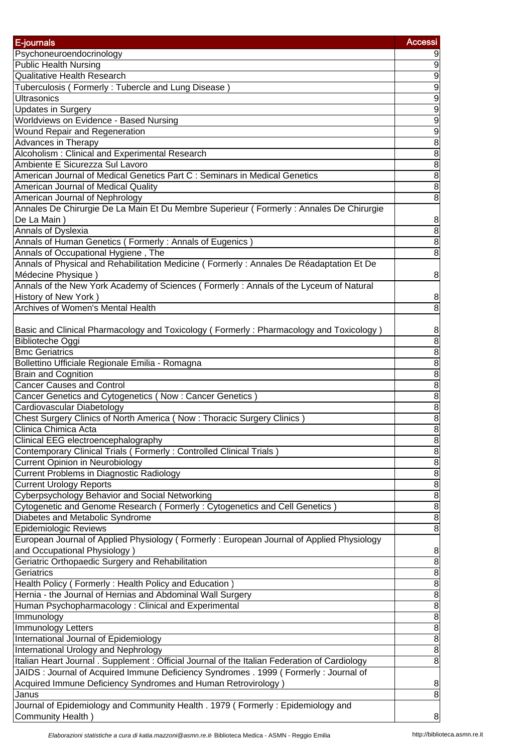| E-journals                                                                                    | <b>Accessi</b>    |
|-----------------------------------------------------------------------------------------------|-------------------|
| Psychoneuroendocrinology                                                                      | 9                 |
| <b>Public Health Nursing</b>                                                                  | 9                 |
| <b>Qualitative Health Research</b>                                                            | $\overline{9}$    |
| Tuberculosis (Formerly: Tubercle and Lung Disease)                                            | $\overline{9}$    |
| <b>Ultrasonics</b>                                                                            | $\overline{9}$    |
| <b>Updates in Surgery</b>                                                                     | $\overline{9}$    |
| Worldviews on Evidence - Based Nursing                                                        | $\overline{9}$    |
| Wound Repair and Regeneration                                                                 | $\overline{9}$    |
| Advances in Therapy                                                                           | $\overline{8}$    |
| Alcoholism: Clinical and Experimental Research                                                | $\overline{8}$    |
| Ambiente E Sicurezza Sul Lavoro                                                               | $\overline{8}$    |
| American Journal of Medical Genetics Part C : Seminars in Medical Genetics                    | $\overline{8}$    |
| American Journal of Medical Quality                                                           | $\overline{8}$    |
| American Journal of Nephrology                                                                | $\overline{8}$    |
| Annales De Chirurgie De La Main Et Du Membre Superieur (Formerly: Annales De Chirurgie        |                   |
| De La Main)                                                                                   | 8                 |
| <b>Annals of Dyslexia</b>                                                                     | $\overline{8}$    |
| Annals of Human Genetics (Formerly: Annals of Eugenics)                                       | $\overline{8}$    |
| Annals of Occupational Hygiene, The                                                           | $\overline{8}$    |
| Annals of Physical and Rehabilitation Medicine (Formerly: Annales De Réadaptation Et De       |                   |
| Médecine Physique)                                                                            | 8                 |
| Annals of the New York Academy of Sciences (Formerly: Annals of the Lyceum of Natural         |                   |
|                                                                                               |                   |
| History of New York)<br>Archives of Women's Mental Health                                     | 8                 |
|                                                                                               | $\overline{8}$    |
|                                                                                               |                   |
| Basic and Clinical Pharmacology and Toxicology (Formerly: Pharmacology and Toxicology)        | 8                 |
| Biblioteche Oggi                                                                              | $\overline{8}$    |
| <b>Bmc Geriatrics</b>                                                                         | $\overline{8}$    |
| Bollettino Ufficiale Regionale Emilia - Romagna                                               | $\overline{8}$    |
| <b>Brain and Cognition</b>                                                                    | $\overline{8}$    |
| <b>Cancer Causes and Control</b>                                                              | $\overline{8}$    |
| Cancer Genetics and Cytogenetics (Now: Cancer Genetics)                                       | $\overline{8}$    |
| Cardiovascular Diabetology                                                                    | $\overline{8}$    |
| Chest Surgery Clinics of North America (Now: Thoracic Surgery Clinics)                        | $\overline{8}$    |
| Clinica Chimica Acta                                                                          | $\overline{8}$    |
| Clinical EEG electroencephalography                                                           | 8                 |
| Contemporary Clinical Trials (Formerly: Controlled Clinical Trials)                           | $\boldsymbol{8}$  |
| <b>Current Opinion in Neurobiology</b>                                                        | $\overline{8}$    |
| Current Problems in Diagnostic Radiology                                                      | $\infty$ $\infty$ |
| <b>Current Urology Reports</b>                                                                |                   |
| Cyberpsychology Behavior and Social Networking                                                | $\overline{8}$    |
| Cytogenetic and Genome Research (Formerly: Cytogenetics and Cell Genetics)                    | $\overline{8}$    |
| Diabetes and Metabolic Syndrome                                                               | $\bf{8}$          |
| <b>Epidemiologic Reviews</b>                                                                  | $\overline{8}$    |
| European Journal of Applied Physiology (Formerly: European Journal of Applied Physiology      |                   |
| and Occupational Physiology)                                                                  | 8                 |
| Geriatric Orthopaedic Surgery and Rehabilitation                                              | $\infty$          |
| Geriatrics                                                                                    | $\overline{8}$    |
| Health Policy (Formerly: Health Policy and Education)                                         | $\overline{8}$    |
| Hernia - the Journal of Hernias and Abdominal Wall Surgery                                    | $\overline{8}$    |
| Human Psychopharmacology: Clinical and Experimental                                           | $\overline{8}$    |
| Immunology                                                                                    | $\bf{8}$          |
| Immunology Letters                                                                            | $\bf{8}$          |
| International Journal of Epidemiology                                                         | 8                 |
| International Urology and Nephrology                                                          | 8                 |
| Italian Heart Journal . Supplement : Official Journal of the Italian Federation of Cardiology | $\overline{8}$    |
| JAIDS : Journal of Acquired Immune Deficiency Syndromes . 1999 ( Formerly : Journal of        |                   |
| Acquired Immune Deficiency Syndromes and Human Retrovirology)                                 | 8                 |
| Janus                                                                                         | $\overline{8}$    |
| Journal of Epidemiology and Community Health . 1979 (Formerly: Epidemiology and               |                   |
| Community Health)                                                                             | 8                 |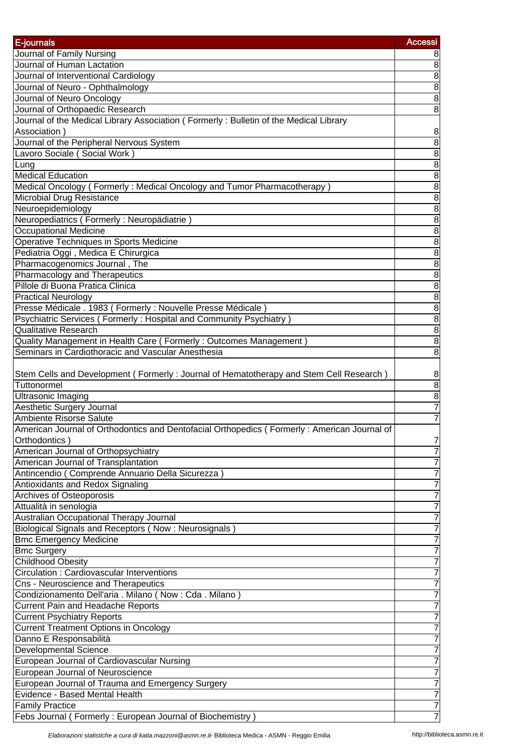| E-journals                                                                                  | <b>Accessi</b>    |
|---------------------------------------------------------------------------------------------|-------------------|
| Journal of Family Nursing                                                                   | 8                 |
| Journal of Human Lactation                                                                  | $\infty$          |
| Journal of Interventional Cardiology                                                        | $\overline{8}$    |
| Journal of Neuro - Ophthalmology                                                            | $\overline{8}$    |
| Journal of Neuro Oncology                                                                   | $\overline{8}$    |
| Journal of Orthopaedic Research                                                             | $\overline{8}$    |
| Journal of the Medical Library Association (Formerly: Bulletin of the Medical Library       |                   |
| Association)                                                                                | 8                 |
| Journal of the Peripheral Nervous System                                                    | $\overline{8}$    |
| Lavoro Sociale (Social Work)                                                                | $\overline{8}$    |
| Lung                                                                                        | $\overline{8}$    |
| <b>Medical Education</b>                                                                    | $\overline{8}$    |
| Medical Oncology (Formerly: Medical Oncology and Tumor Pharmacotherapy)                     | $\overline{8}$    |
| <b>Microbial Drug Resistance</b>                                                            | $\overline{8}$    |
| Neuroepidemiology                                                                           | $\overline{8}$    |
| Neuropediatrics (Formerly: Neuropädiatrie)                                                  | $\overline{8}$    |
| Occupational Medicine                                                                       | $\overline{8}$    |
| Operative Techniques in Sports Medicine                                                     | 8                 |
| Pediatria Oggi, Medica E Chirurgica                                                         | $\overline{8}$    |
| Pharmacogenomics Journal, The                                                               | $\overline{8}$    |
| Pharmacology and Therapeutics                                                               | $\overline{8}$    |
| Pillole di Buona Pratica Clinica                                                            | $\overline{8}$    |
| <b>Practical Neurology</b>                                                                  | $\overline{8}$    |
| Presse Médicale . 1983 (Formerly : Nouvelle Presse Médicale)                                | $\overline{8}$    |
| Psychiatric Services (Formerly: Hospital and Community Psychiatry)                          | $\infty$ $\infty$ |
| <b>Qualitative Research</b>                                                                 |                   |
| Quality Management in Health Care (Formerly: Outcomes Management)                           | $\bf{8}$          |
| Seminars in Cardiothoracic and Vascular Anesthesia                                          | $\overline{8}$    |
|                                                                                             |                   |
| Stem Cells and Development (Formerly: Journal of Hematotherapy and Stem Cell Research)      | 8                 |
| Tuttonormel                                                                                 | $\overline{8}$    |
| <b>Ultrasonic Imaging</b>                                                                   | $\overline{8}$    |
| Aesthetic Surgery Journal                                                                   | $\overline{7}$    |
| Ambiente Risorse Salute                                                                     | 7                 |
| American Journal of Orthodontics and Dentofacial Orthopedics (Formerly: American Journal of |                   |
| Orthodontics)                                                                               | 7                 |
| American Journal of Orthopsychiatry                                                         | 7                 |
| American Journal of Transplantation                                                         | 7                 |
| Antincendio (Comprende Annuario Della Sicurezza)                                            | 7                 |
| Antioxidants and Redox Signaling                                                            | 7                 |
| Archives of Osteoporosis                                                                    | 7                 |
| Attualità in senologia                                                                      | 7                 |
| Australian Occupational Therapy Journal                                                     | 7                 |
| Biological Signals and Receptors (Now: Neurosignals)                                        | 7                 |
| <b>Bmc Emergency Medicine</b>                                                               | 7                 |
| <b>Bmc Surgery</b>                                                                          |                   |
| <b>Childhood Obesity</b>                                                                    |                   |
| Circulation : Cardiovascular Interventions                                                  |                   |
| Cns - Neuroscience and Therapeutics                                                         |                   |
| Condizionamento Dell'aria . Milano (Now : Cda . Milano)                                     | 7                 |
| <b>Current Pain and Headache Reports</b>                                                    | 7                 |
| <b>Current Psychiatry Reports</b>                                                           | 7                 |
| <b>Current Treatment Options in Oncology</b>                                                | 7                 |
| Danno E Responsabilità                                                                      | 7                 |
| <b>Developmental Science</b>                                                                | 7                 |
| European Journal of Cardiovascular Nursing                                                  | 7                 |
| European Journal of Neuroscience                                                            | 7                 |
| European Journal of Trauma and Emergency Surgery                                            | 7                 |
| Evidence - Based Mental Health                                                              | 7                 |
| <b>Family Practice</b>                                                                      | 7                 |
| Febs Journal (Formerly: European Journal of Biochemistry)                                   |                   |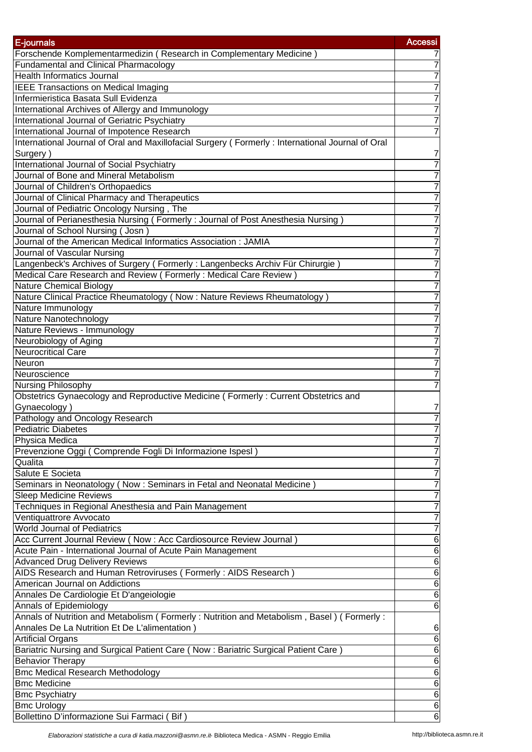| E-journals                                                                                              | <b>Accessi</b>      |
|---------------------------------------------------------------------------------------------------------|---------------------|
| Forschende Komplementarmedizin (Research in Complementary Medicine)                                     |                     |
| <b>Fundamental and Clinical Pharmacology</b>                                                            | 7                   |
| <b>Health Informatics Journal</b>                                                                       |                     |
| <b>IEEE Transactions on Medical Imaging</b>                                                             |                     |
| Infermieristica Basata Sull Evidenza                                                                    | 7                   |
| International Archives of Allergy and Immunology                                                        | 7                   |
| International Journal of Geriatric Psychiatry                                                           | 7                   |
| International Journal of Impotence Research                                                             | 7                   |
| International Journal of Oral and Maxillofacial Surgery (Formerly: International Journal of Oral        |                     |
| Surgery)                                                                                                | 7                   |
| <b>International Journal of Social Psychiatry</b>                                                       | 7                   |
| Journal of Bone and Mineral Metabolism                                                                  |                     |
| Journal of Children's Orthopaedics                                                                      |                     |
| Journal of Clinical Pharmacy and Therapeutics                                                           |                     |
| Journal of Pediatric Oncology Nursing, The                                                              |                     |
| Journal of Perianesthesia Nursing (Formerly: Journal of Post Anesthesia Nursing)                        |                     |
| Journal of School Nursing (Josn)                                                                        |                     |
| Journal of the American Medical Informatics Association : JAMIA                                         |                     |
| Journal of Vascular Nursing                                                                             | 7                   |
| Langenbeck's Archives of Surgery (Formerly: Langenbecks Archiv Für Chirurgie)                           | 7                   |
| Medical Care Research and Review (Formerly: Medical Care Review)                                        | 7                   |
| <b>Nature Chemical Biology</b>                                                                          | 7                   |
| Nature Clinical Practice Rheumatology (Now: Nature Reviews Rheumatology)                                |                     |
| Nature Immunology                                                                                       |                     |
| Nature Nanotechnology                                                                                   | 7                   |
| Nature Reviews - Immunology                                                                             | 7                   |
| Neurobiology of Aging                                                                                   | 7                   |
| <b>Neurocritical Care</b>                                                                               | 7                   |
| Neuron                                                                                                  | 7                   |
| Neuroscience                                                                                            | 7                   |
| Nursing Philosophy                                                                                      |                     |
| Obstetrics Gynaecology and Reproductive Medicine (Formerly: Current Obstetrics and                      |                     |
| Gynaecology)                                                                                            | 7                   |
| Pathology and Oncology Research                                                                         | 7                   |
| <b>Pediatric Diabetes</b>                                                                               |                     |
| Physica Medica                                                                                          | 7                   |
| Prevenzione Oggi (Comprende Fogli Di Informazione Ispesl)                                               | 7                   |
| Qualita                                                                                                 | 7                   |
| Salute E Societa                                                                                        | 7                   |
| Seminars in Neonatology (Now: Seminars in Fetal and Neonatal Medicine)                                  | 7                   |
| <b>Sleep Medicine Reviews</b>                                                                           | 7                   |
| Techniques in Regional Anesthesia and Pain Management                                                   | 7                   |
| Ventiquattrore Avvocato<br><b>World Journal of Pediatrics</b>                                           | 7                   |
|                                                                                                         | 7                   |
| Acc Current Journal Review (Now : Acc Cardiosource Review Journal)                                      | 6                   |
| Acute Pain - International Journal of Acute Pain Management                                             | 6                   |
| <b>Advanced Drug Delivery Reviews</b><br>AIDS Research and Human Retroviruses (Formerly: AIDS Research) | 6                   |
| American Journal on Addictions                                                                          | $\overline{6}$<br>6 |
| Annales De Cardiologie Et D'angeiologie                                                                 | 6                   |
| <b>Annals of Epidemiology</b>                                                                           | 6                   |
| Annals of Nutrition and Metabolism (Formerly: Nutrition and Metabolism, Basel) (Formerly:               |                     |
| Annales De La Nutrition Et De L'alimentation)                                                           | 6                   |
| <b>Artificial Organs</b>                                                                                | 6                   |
| Bariatric Nursing and Surgical Patient Care (Now: Bariatric Surgical Patient Care)                      | $\overline{6}$      |
| <b>Behavior Therapy</b>                                                                                 | $\overline{6}$      |
| <b>Bmc Medical Research Methodology</b>                                                                 | $\overline{6}$      |
| <b>Bmc Medicine</b>                                                                                     | $\overline{6}$      |
| <b>Bmc Psychiatry</b>                                                                                   | $\overline{6}$      |
| <b>Bmc Urology</b>                                                                                      | 6                   |
| Bollettino D'informazione Sui Farmaci (Bif)                                                             | 6                   |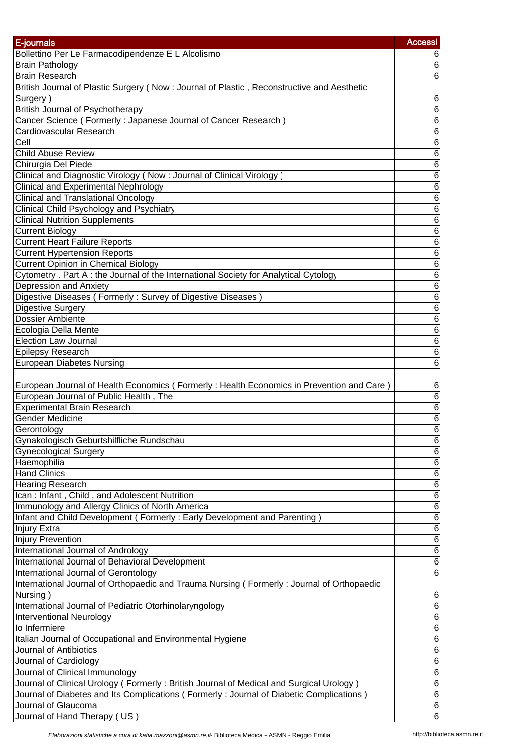| E-journals                                                                                | <b>Accessi</b>  |
|-------------------------------------------------------------------------------------------|-----------------|
| Bollettino Per Le Farmacodipendenze E L Alcolismo                                         | 6               |
| <b>Brain Pathology</b>                                                                    | 6               |
| <b>Brain Research</b>                                                                     | 6               |
| British Journal of Plastic Surgery (Now: Journal of Plastic, Reconstructive and Aesthetic |                 |
| Surgery)                                                                                  | 6               |
| <b>British Journal of Psychotherapy</b>                                                   | $\overline{6}$  |
| Cancer Science (Formerly: Japanese Journal of Cancer Research)                            | 6               |
| Cardiovascular Research                                                                   | 6               |
| Cell                                                                                      | $\overline{6}$  |
| <b>Child Abuse Review</b>                                                                 | $\overline{6}$  |
| Chirurgia Del Piede                                                                       | $\overline{6}$  |
| Clinical and Diagnostic Virology (Now: Journal of Clinical Virology)                      | 6               |
| <b>Clinical and Experimental Nephrology</b>                                               | 6               |
| <b>Clinical and Translational Oncology</b>                                                | 6               |
| Clinical Child Psychology and Psychiatry                                                  | 6               |
| <b>Clinical Nutrition Supplements</b>                                                     | 6               |
| <b>Current Biology</b>                                                                    | $\overline{6}$  |
| <b>Current Heart Failure Reports</b>                                                      | 6               |
| <b>Current Hypertension Reports</b>                                                       | $\overline{6}$  |
| <b>Current Opinion in Chemical Biology</b>                                                | $\overline{6}$  |
| Cytometry . Part A : the Journal of the International Society for Analytical Cytology     | $\overline{6}$  |
| Depression and Anxiety                                                                    | $\overline{6}$  |
| Digestive Diseases (Formerly: Survey of Digestive Diseases)                               | $\overline{6}$  |
| Digestive Surgery                                                                         | $\overline{6}$  |
| Dossier Ambiente                                                                          | $\overline{6}$  |
| Ecologia Della Mente                                                                      | $\overline{6}$  |
| <b>Election Law Journal</b>                                                               | $\overline{6}$  |
| <b>Epilepsy Research</b>                                                                  | $\overline{6}$  |
| <b>European Diabetes Nursing</b>                                                          | $\overline{6}$  |
|                                                                                           |                 |
| European Journal of Health Economics (Formerly: Health Economics in Prevention and Care)  | 6               |
| European Journal of Public Health, The                                                    | 6               |
| <b>Experimental Brain Research</b>                                                        | 6               |
| Gender Medicine                                                                           | $\overline{6}$  |
| Gerontology                                                                               | 6               |
| Gynakologisch Geburtshilfliche Rundschau                                                  | $6\phantom{1}6$ |
| <b>Gynecological Surgery</b>                                                              | 6               |
| Haemophilia                                                                               | $\overline{6}$  |
| <b>Hand Clinics</b>                                                                       | $\overline{6}$  |
| <b>Hearing Research</b>                                                                   | $\overline{6}$  |
| Ican: Infant, Child, and Adolescent Nutrition                                             | $\overline{6}$  |
| Immunology and Allergy Clinics of North America                                           | $\overline{6}$  |
| Infant and Child Development (Formerly: Early Development and Parenting)                  | $\overline{6}$  |
| Injury Extra                                                                              | $\overline{6}$  |
| <b>Injury Prevention</b>                                                                  | $\overline{6}$  |
| International Journal of Andrology                                                        | $\overline{6}$  |
| International Journal of Behavioral Development                                           | 6               |
| International Journal of Gerontology                                                      | 6               |
| International Journal of Orthopaedic and Trauma Nursing (Formerly: Journal of Orthopaedic |                 |
| Nursing)                                                                                  | 6               |
| International Journal of Pediatric Otorhinolaryngology                                    | $\overline{6}$  |
| <b>Interventional Neurology</b>                                                           | 6               |
| lo Infermiere                                                                             | $\overline{6}$  |
| Italian Journal of Occupational and Environmental Hygiene                                 | $\overline{6}$  |
| Journal of Antibiotics                                                                    | $\overline{6}$  |
| Journal of Cardiology                                                                     | $\overline{6}$  |
| Journal of Clinical Immunology                                                            | $\overline{6}$  |
| Journal of Clinical Urology (Formerly: British Journal of Medical and Surgical Urology)   | $\overline{6}$  |
| Journal of Diabetes and Its Complications (Formerly: Journal of Diabetic Complications)   | $\overline{6}$  |
| Journal of Glaucoma                                                                       | $\,6$           |
| Journal of Hand Therapy (US)                                                              | 6               |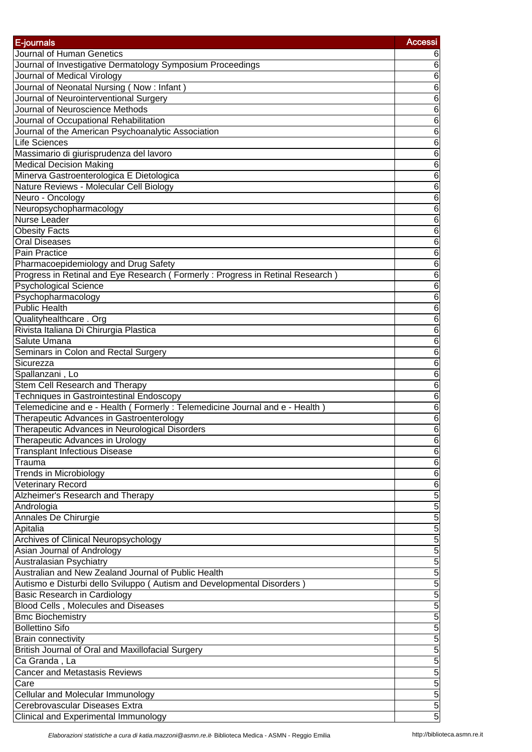| E-journals                                                                    | <b>Accessi</b> |
|-------------------------------------------------------------------------------|----------------|
| Journal of Human Genetics                                                     |                |
| Journal of Investigative Dermatology Symposium Proceedings                    | 6              |
| Journal of Medical Virology                                                   | 6              |
| Journal of Neonatal Nursing (Now: Infant)                                     | 6              |
| Journal of Neurointerventional Surgery                                        | 6              |
| Journal of Neuroscience Methods                                               | 6              |
| Journal of Occupational Rehabilitation                                        | 6              |
| Journal of the American Psychoanalytic Association                            | 6              |
| <b>Life Sciences</b>                                                          | 6              |
| Massimario di giurisprudenza del lavoro                                       | 6              |
| <b>Medical Decision Making</b>                                                | 6              |
| Minerva Gastroenterologica E Dietologica                                      | 6              |
| Nature Reviews - Molecular Cell Biology                                       | 6              |
| Neuro - Oncology                                                              | 6              |
| Neuropsychopharmacology                                                       | 6              |
| <b>Nurse Leader</b>                                                           | 6              |
| <b>Obesity Facts</b>                                                          | 6              |
| <b>Oral Diseases</b>                                                          | 6              |
| Pain Practice                                                                 | 6              |
| Pharmacoepidemiology and Drug Safety                                          | 6              |
| Progress in Retinal and Eye Research (Formerly: Progress in Retinal Research) | 6              |
| <b>Psychological Science</b>                                                  | 6              |
| Psychopharmacology                                                            | 6              |
| <b>Public Health</b>                                                          | 6              |
| Qualityhealthcare. Org                                                        | $\overline{6}$ |
| Rivista Italiana Di Chirurgia Plastica                                        | 6              |
| Salute Umana                                                                  | 6              |
| Seminars in Colon and Rectal Surgery                                          | 6              |
| Sicurezza                                                                     | 6              |
| Spallanzani, Lo                                                               | 6              |
| Stem Cell Research and Therapy                                                | 6              |
| <b>Techniques in Gastrointestinal Endoscopy</b>                               | 6              |
| Telemedicine and e - Health (Formerly: Telemedicine Journal and e - Health)   | 6              |
| Therapeutic Advances in Gastroenterology                                      | 6              |
| Therapeutic Advances in Neurological Disorders                                | 6              |
| Therapeutic Advances in Urology                                               | 6              |
| <b>Transplant Infectious Disease</b>                                          | 6              |
| Trauma                                                                        | 6              |
| Trends in Microbiology                                                        | 6              |
| <b>Veterinary Record</b>                                                      | $\overline{6}$ |
| Alzheimer's Research and Therapy                                              | 5              |
| Andrologia                                                                    | 5              |
| Annales De Chirurgie                                                          | 5              |
| Apitalia                                                                      | 5              |
| Archives of Clinical Neuropsychology                                          | 5              |
| Asian Journal of Andrology                                                    | $\overline{5}$ |
| Australasian Psychiatry                                                       | $\overline{5}$ |
| Australian and New Zealand Journal of Public Health                           | 5              |
| Autismo e Disturbi dello Sviluppo (Autism and Developmental Disorders)        | 5              |
| Basic Research in Cardiology                                                  | 5              |
| Blood Cells, Molecules and Diseases                                           | 5              |
| <b>Bmc Biochemistry</b><br><b>Bollettino Sifo</b>                             | 5              |
|                                                                               | 5              |
| <b>Brain connectivity</b>                                                     | 5              |
| British Journal of Oral and Maxillofacial Surgery                             | $\overline{5}$ |
| Ca Granda , La<br>Cancer and Metastasis Reviews                               | $\overline{5}$ |
|                                                                               | 5<br>5         |
| Care                                                                          | 5              |
| Cellular and Molecular Immunology<br>Cerebrovascular Diseases Extra           | $\overline{5}$ |
| Clinical and Experimental Immunology                                          | 5              |
|                                                                               |                |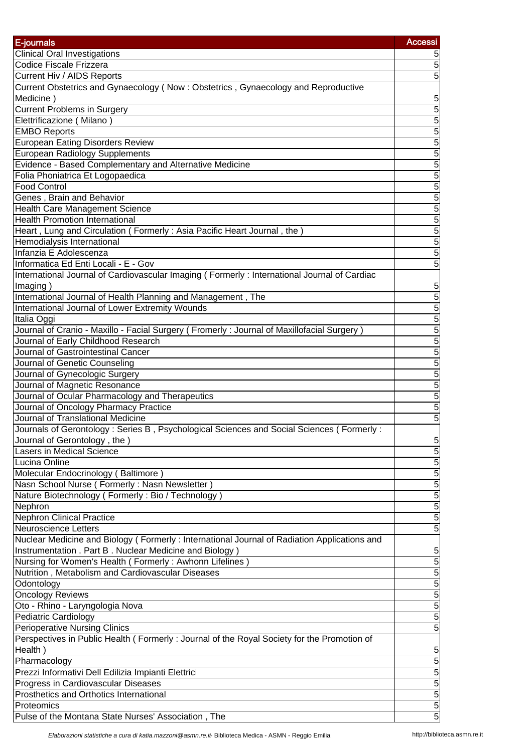| E-journals                                                                                  | <b>Accessi</b> |
|---------------------------------------------------------------------------------------------|----------------|
| <b>Clinical Oral Investigations</b>                                                         |                |
| Codice Fiscale Frizzera                                                                     | 5              |
| Current Hiv / AIDS Reports                                                                  | 5              |
| Current Obstetrics and Gynaecology (Now: Obstetrics, Gynaecology and Reproductive           |                |
| Medicine)                                                                                   | 5              |
| <b>Current Problems in Surgery</b>                                                          | $\overline{5}$ |
| Elettrificazione (Milano)                                                                   | $\overline{5}$ |
| <b>EMBO Reports</b>                                                                         | $\overline{5}$ |
| <b>European Eating Disorders Review</b>                                                     | 5              |
| <b>European Radiology Supplements</b>                                                       | 5              |
| Evidence - Based Complementary and Alternative Medicine                                     | 5              |
| Folia Phoniatrica Et Logopaedica                                                            | 5              |
| <b>Food Control</b>                                                                         | $\overline{5}$ |
| Genes, Brain and Behavior                                                                   | 5              |
| Health Care Management Science                                                              | 5              |
| <b>Health Promotion International</b>                                                       | 5              |
| Heart, Lung and Circulation (Formerly: Asia Pacific Heart Journal, the)                     | 5              |
| Hemodialysis International                                                                  | 5              |
| Infanzia E Adolescenza                                                                      | 5              |
| Informatica Ed Enti Locali - E - Gov                                                        | $\overline{5}$ |
| International Journal of Cardiovascular Imaging (Formerly: International Journal of Cardiac |                |
| Imaging)                                                                                    | 5              |
| International Journal of Health Planning and Management, The                                | $\overline{5}$ |
| International Journal of Lower Extremity Wounds                                             | 5              |
| Italia Oggi                                                                                 | $\overline{5}$ |
| Journal of Cranio - Maxillo - Facial Surgery (Fromerly: Journal of Maxillofacial Surgery)   | 5              |
| Journal of Early Childhood Research                                                         | 5              |
| Journal of Gastrointestinal Cancer                                                          | 5              |
| Journal of Genetic Counseling                                                               | $\overline{5}$ |
| Journal of Gynecologic Surgery                                                              | $\overline{5}$ |
| Journal of Magnetic Resonance                                                               | 5              |
| Journal of Ocular Pharmacology and Therapeutics                                             | 5              |
| Journal of Oncology Pharmacy Practice                                                       | 5              |
| Journal of Translational Medicine                                                           | 5              |
| Journals of Gerontology : Series B, Psychological Sciences and Social Sciences (Formerly:   |                |
| Journal of Gerontology, the)                                                                | 5              |
| <b>Lasers in Medical Science</b>                                                            | 5              |
| Lucina Online                                                                               | $\overline{5}$ |
| Molecular Endocrinology (Baltimore)                                                         | $\overline{5}$ |
| Nasn School Nurse (Formerly: Nasn Newsletter)                                               | 5              |
| Nature Biotechnology (Formerly: Bio / Technology)                                           | $\overline{5}$ |
| Nephron                                                                                     | 5              |
| <b>Nephron Clinical Practice</b>                                                            | 5              |
| <b>Neuroscience Letters</b>                                                                 | 5              |
| Nuclear Medicine and Biology (Formerly: International Journal of Radiation Applications and |                |
| Instrumentation . Part B. Nuclear Medicine and Biology)                                     | 5              |
| Nursing for Women's Health (Formerly: Awhonn Lifelines)                                     | $\overline{5}$ |
| Nutrition, Metabolism and Cardiovascular Diseases                                           | $\overline{5}$ |
| Odontology                                                                                  | 5              |
| <b>Oncology Reviews</b>                                                                     | 5              |
| Oto - Rhino - Laryngologia Nova                                                             | 5              |
| <b>Pediatric Cardiology</b>                                                                 | 5              |
| <b>Perioperative Nursing Clinics</b>                                                        | $\overline{5}$ |
| Perspectives in Public Health (Formerly: Journal of the Royal Society for the Promotion of  |                |
| Health)                                                                                     | 5              |
| Pharmacology                                                                                | $\overline{5}$ |
| Prezzi Informativi Dell Edilizia Impianti Elettrici                                         | 5              |
| Progress in Cardiovascular Diseases                                                         | 5              |
| Prosthetics and Orthotics International                                                     | 5              |
| Proteomics                                                                                  | 5              |
| Pulse of the Montana State Nurses' Association, The                                         | 5              |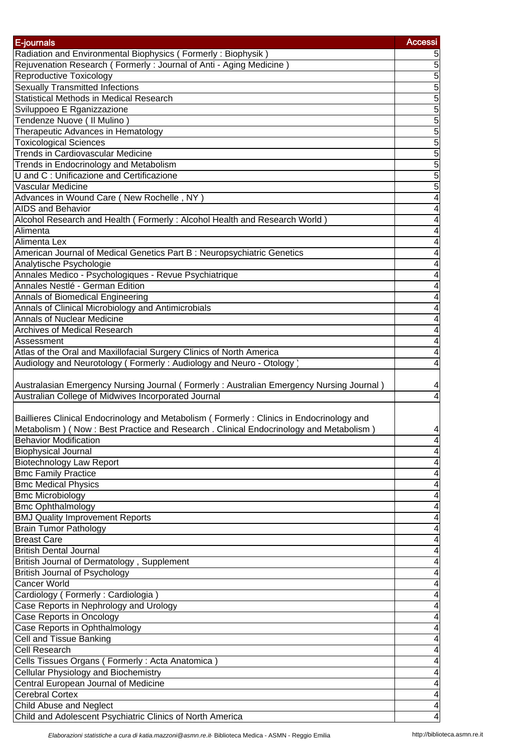| E-journals                                                                               | <b>Accessi</b> |
|------------------------------------------------------------------------------------------|----------------|
| Radiation and Environmental Biophysics (Formerly: Biophysik)                             |                |
| Rejuvenation Research (Formerly: Journal of Anti - Aging Medicine)                       | 5              |
| <b>Reproductive Toxicology</b>                                                           | 5              |
| <b>Sexually Transmitted Infections</b>                                                   | 5              |
| <b>Statistical Methods in Medical Research</b>                                           | $\overline{5}$ |
| Sviluppoeo E Rganizzazione                                                               | 5              |
| Tendenze Nuove (Il Mulino)                                                               | 5              |
| Therapeutic Advances in Hematology                                                       | $\overline{5}$ |
| <b>Toxicological Sciences</b>                                                            | 5              |
| <b>Trends in Cardiovascular Medicine</b>                                                 | $\overline{5}$ |
| Trends in Endocrinology and Metabolism                                                   | $\overline{5}$ |
| U and C: Unificazione and Certificazione                                                 | $\overline{5}$ |
| Vascular Medicine                                                                        | 5              |
| Advances in Wound Care (New Rochelle, NY)                                                |                |
| <b>AIDS and Behavior</b>                                                                 |                |
| Alcohol Research and Health (Formerly: Alcohol Health and Research World)                |                |
| Alimenta                                                                                 |                |
| Alimenta Lex                                                                             |                |
| American Journal of Medical Genetics Part B: Neuropsychiatric Genetics                   |                |
| Analytische Psychologie                                                                  |                |
| Annales Medico - Psychologiques - Revue Psychiatrique                                    |                |
| Annales Nestlé - German Edition                                                          |                |
| Annals of Biomedical Engineering                                                         |                |
| Annals of Clinical Microbiology and Antimicrobials                                       |                |
| <b>Annals of Nuclear Medicine</b>                                                        | 4              |
| Archives of Medical Research                                                             | 4              |
| Assessment                                                                               |                |
| Atlas of the Oral and Maxillofacial Surgery Clinics of North America                     | 4              |
| Audiology and Neurotology (Formerly: Audiology and Neuro - Otology)                      | 4              |
|                                                                                          |                |
| Australasian Emergency Nursing Journal (Formerly: Australian Emergency Nursing Journal)  |                |
| Australian College of Midwives Incorporated Journal                                      | 4              |
|                                                                                          |                |
| Baillieres Clinical Endocrinology and Metabolism (Formerly: Clinics in Endocrinology and |                |
| Metabolism) (Now: Best Practice and Research . Clinical Endocrinology and Metabolism)    | 4              |
| <b>Behavior Modification</b>                                                             | 4              |
| <b>Biophysical Journal</b>                                                               |                |
| <b>Biotechnology Law Report</b>                                                          |                |
| <b>Bmc Family Practice</b>                                                               |                |
| <b>Bmc Medical Physics</b>                                                               |                |
| <b>Bmc Microbiology</b>                                                                  |                |
| <b>Bmc Ophthalmology</b>                                                                 |                |
| <b>BMJ Quality Improvement Reports</b>                                                   | 4              |
| <b>Brain Tumor Pathology</b>                                                             |                |
| <b>Breast Care</b>                                                                       |                |
| <b>British Dental Journal</b>                                                            |                |
| British Journal of Dermatology, Supplement                                               |                |
| <b>British Journal of Psychology</b>                                                     |                |
| <b>Cancer World</b>                                                                      |                |
| Cardiology (Formerly: Cardiologia)                                                       |                |
| Case Reports in Nephrology and Urology                                                   |                |
| Case Reports in Oncology                                                                 |                |
| Case Reports in Ophthalmology                                                            |                |
| Cell and Tissue Banking                                                                  |                |
| <b>Cell Research</b>                                                                     |                |
| Cells Tissues Organs (Formerly: Acta Anatomica)                                          |                |
| Cellular Physiology and Biochemistry                                                     |                |
| Central European Journal of Medicine                                                     | 4              |
| <b>Cerebral Cortex</b>                                                                   | 4              |
| Child Abuse and Neglect                                                                  | 4              |
| Child and Adolescent Psychiatric Clinics of North America                                | 4              |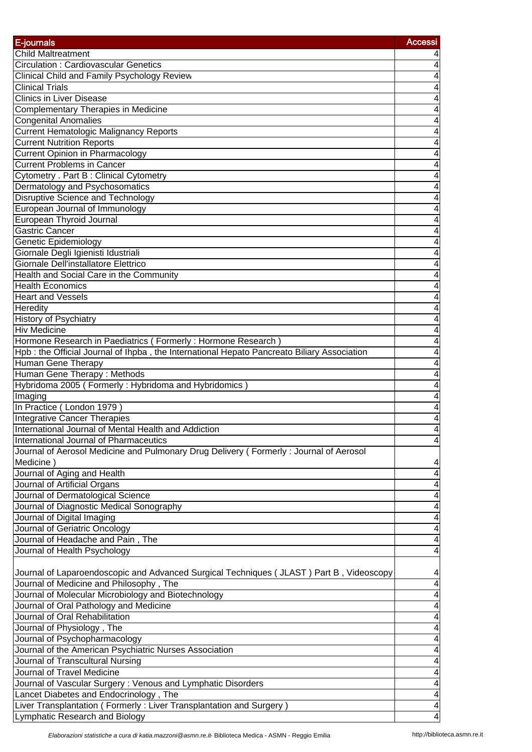| E-journals                                                                                  | <b>Accessi</b> |
|---------------------------------------------------------------------------------------------|----------------|
| <b>Child Maltreatment</b>                                                                   |                |
| Circulation: Cardiovascular Genetics                                                        | 4              |
| Clinical Child and Family Psychology Review                                                 | 4              |
| <b>Clinical Trials</b>                                                                      | 4              |
| <b>Clinics in Liver Disease</b>                                                             | 4              |
| Complementary Therapies in Medicine                                                         | 4              |
| <b>Congenital Anomalies</b>                                                                 | 4              |
| <b>Current Hematologic Malignancy Reports</b>                                               | 4              |
| <b>Current Nutrition Reports</b>                                                            | 4              |
| <b>Current Opinion in Pharmacology</b>                                                      | 4              |
| <b>Current Problems in Cancer</b>                                                           | 4              |
| <b>Cytometry</b> . Part B : Clinical Cytometry                                              | 4              |
| Dermatology and Psychosomatics                                                              | 4              |
| <b>Disruptive Science and Technology</b>                                                    | 4              |
| European Journal of Immunology                                                              | 4              |
| European Thyroid Journal                                                                    | 4              |
| Gastric Cancer                                                                              | 4              |
| <b>Genetic Epidemiology</b>                                                                 | 4              |
| Giornale Degli Igienisti Idustriali                                                         | 4              |
| Giornale Dell'installatore Elettrico                                                        | 4              |
| Health and Social Care in the Community                                                     | 4              |
| <b>Health Economics</b>                                                                     | 4              |
| <b>Heart and Vessels</b>                                                                    |                |
|                                                                                             | 4              |
| Heredity                                                                                    | 4              |
| <b>History of Psychiatry</b>                                                                | 4              |
| <b>Hiv Medicine</b>                                                                         | 4              |
| Hormone Research in Paediatrics (Formerly: Hormone Research)                                | 4              |
| Hpb : the Official Journal of Ihpba, the International Hepato Pancreato Biliary Association | 4              |
| <b>Human Gene Therapy</b>                                                                   | 4              |
| Human Gene Therapy: Methods                                                                 | 4              |
| Hybridoma 2005 (Formerly: Hybridoma and Hybridomics)                                        | 4              |
| Imaging                                                                                     | 4              |
| In Practice (London 1979)                                                                   | 4              |
| <b>Integrative Cancer Therapies</b>                                                         | 4              |
| International Journal of Mental Health and Addiction                                        | 4              |
| International Journal of Pharmaceutics                                                      | 4              |
| Journal of Aerosol Medicine and Pulmonary Drug Delivery (Formerly: Journal of Aerosol       |                |
| Medicine)                                                                                   | 4              |
| Journal of Aging and Health                                                                 | 4              |
| Journal of Artificial Organs                                                                | 4              |
| Journal of Dermatological Science                                                           | 4              |
| Journal of Diagnostic Medical Sonography                                                    | 4              |
| Journal of Digital Imaging                                                                  | 4              |
| Journal of Geriatric Oncology                                                               | 4              |
| Journal of Headache and Pain, The                                                           | 4              |
| Journal of Health Psychology                                                                | 4              |
|                                                                                             |                |
| Journal of Laparoendoscopic and Advanced Surgical Techniques (JLAST) Part B, Videoscopy     | 4              |
| Journal of Medicine and Philosophy, The                                                     | 4              |
| Journal of Molecular Microbiology and Biotechnology                                         | 4              |
| Journal of Oral Pathology and Medicine                                                      | 4              |
| Journal of Oral Rehabilitation                                                              | 4              |
| Journal of Physiology, The                                                                  | 4              |
| Journal of Psychopharmacology                                                               | 4              |
| Journal of the American Psychiatric Nurses Association                                      | 4              |
| Journal of Transcultural Nursing                                                            | 4              |
| Journal of Travel Medicine                                                                  | 4              |
| Journal of Vascular Surgery : Venous and Lymphatic Disorders                                | 4              |
| Lancet Diabetes and Endocrinology, The                                                      | 4              |
| Liver Transplantation (Formerly: Liver Transplantation and Surgery)                         | 4              |
| Lymphatic Research and Biology                                                              | 4              |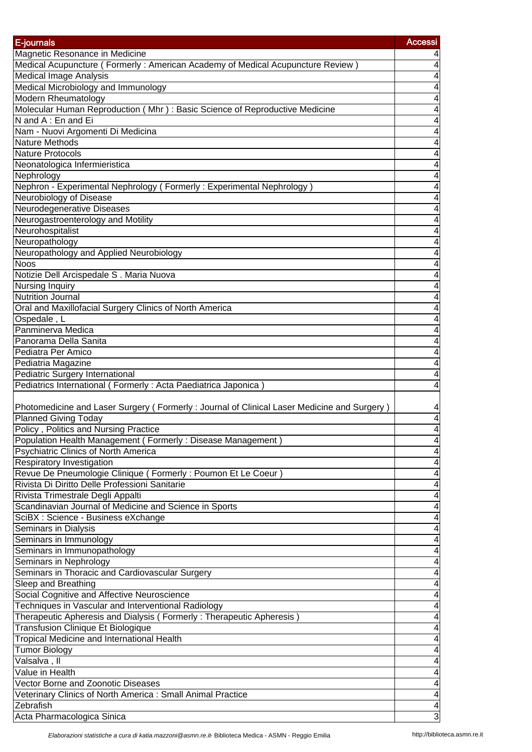| E-journals                                                                                  | <b>Accessi</b> |
|---------------------------------------------------------------------------------------------|----------------|
| Magnetic Resonance in Medicine                                                              |                |
| Medical Acupuncture (Formerly: American Academy of Medical Acupuncture Review)              | 4              |
| <b>Medical Image Analysis</b>                                                               | 4              |
| Medical Microbiology and Immunology                                                         | 4              |
| Modern Rheumatology                                                                         | 4              |
| Molecular Human Reproduction (Mhr): Basic Science of Reproductive Medicine                  | 4              |
| N and A: En and Ei                                                                          | 4              |
| Nam - Nuovi Argomenti Di Medicina                                                           | 4              |
| <b>Nature Methods</b>                                                                       | 4              |
| Nature Protocols                                                                            | 4              |
| Neonatologica Infermieristica                                                               | 4              |
| Nephrology                                                                                  | 4              |
| Nephron - Experimental Nephrology (Formerly: Experimental Nephrology)                       | 4              |
| Neurobiology of Disease                                                                     | 4              |
| Neurodegenerative Diseases                                                                  | 4              |
| Neurogastroenterology and Motility                                                          | 4              |
| Neurohospitalist                                                                            | 4              |
| Neuropathology                                                                              | 4              |
| Neuropathology and Applied Neurobiology                                                     | 4              |
| <b>Noos</b>                                                                                 | 4              |
| Notizie Dell Arcispedale S. Maria Nuova                                                     | 4              |
| <b>Nursing Inquiry</b>                                                                      | 4              |
| <b>Nutrition Journal</b>                                                                    | 4              |
| Oral and Maxillofacial Surgery Clinics of North America                                     | 4              |
| Ospedale, L                                                                                 | 4              |
| Panminerva Medica                                                                           | 4              |
| Panorama Della Sanita                                                                       | 4              |
| Pediatra Per Amico                                                                          | 4              |
| Pediatria Magazine                                                                          | 4              |
| <b>Pediatric Surgery International</b>                                                      | 4              |
| Pediatrics International (Formerly: Acta Paediatrica Japonica)                              | 4              |
|                                                                                             |                |
| Photomedicine and Laser Surgery (Formerly: Journal of Clinical Laser Medicine and Surgery)  | 4              |
| <b>Planned Giving Today</b>                                                                 | 4              |
| Policy, Politics and Nursing Practice                                                       | 4              |
| Population Health Management (Formerly: Disease Management)                                 | 4              |
| Psychiatric Clinics of North America                                                        |                |
| Respiratory Investigation                                                                   | 4              |
| Revue De Pneumologie Clinique (Formerly: Poumon Et Le Coeur)                                | 4              |
| Rivista Di Diritto Delle Professioni Sanitarie                                              | 4              |
| Rivista Trimestrale Degli Appalti<br>Scandinavian Journal of Medicine and Science in Sports | 4              |
| SciBX : Science - Business eXchange                                                         | 4<br>4         |
| Seminars in Dialysis                                                                        | 4              |
| Seminars in Immunology                                                                      | 4              |
| Seminars in Immunopathology                                                                 | 4              |
| Seminars in Nephrology                                                                      | 4              |
| Seminars in Thoracic and Cardiovascular Surgery                                             | 4              |
| Sleep and Breathing                                                                         | 4              |
| Social Cognitive and Affective Neuroscience                                                 | 4              |
| Techniques in Vascular and Interventional Radiology                                         | 4              |
| Therapeutic Apheresis and Dialysis (Formerly: Therapeutic Apheresis)                        | 4              |
| Transfusion Clinique Et Biologique                                                          | 4              |
| Tropical Medicine and International Health                                                  | 4              |
| <b>Tumor Biology</b>                                                                        | 4              |
| Valsalva, II                                                                                | 4              |
| Value in Health                                                                             | 4              |
| Vector Borne and Zoonotic Diseases                                                          | 4              |
| Veterinary Clinics of North America: Small Animal Practice                                  | 4              |
| Zebrafish                                                                                   | 4              |
| Acta Pharmacologica Sinica                                                                  | 3              |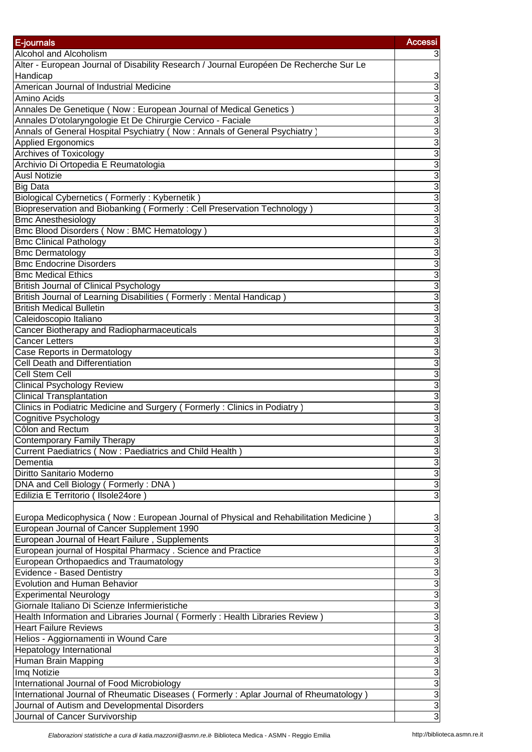| E-journals                                                                             | <b>Accessi</b> |
|----------------------------------------------------------------------------------------|----------------|
| Alcohol and Alcoholism                                                                 |                |
| Alter - European Journal of Disability Research / Journal Européen De Recherche Sur Le | 3              |
| Handicap                                                                               | 3              |
| American Journal of Industrial Medicine                                                | $\overline{3}$ |
| Amino Acids                                                                            | 3              |
| Annales De Genetique (Now : European Journal of Medical Genetics)                      | 3              |
| Annales D'otolaryngologie Et De Chirurgie Cervico - Faciale                            | 3              |
| Annals of General Hospital Psychiatry (Now: Annals of General Psychiatry)              | 3              |
| <b>Applied Ergonomics</b>                                                              | 3              |
| <b>Archives of Toxicology</b>                                                          | 3              |
| Archivio Di Ortopedia E Reumatologia                                                   | 3              |
| <b>Ausl Notizie</b>                                                                    | 3              |
| <b>Big Data</b>                                                                        | 3              |
| Biological Cybernetics (Formerly: Kybernetik)                                          | 3              |
| Biopreservation and Biobanking (Formerly: Cell Preservation Technology)                | 3              |
| <b>Bmc Anesthesiology</b>                                                              | 3              |
| <b>Bmc Blood Disorders (Now: BMC Hematology)</b>                                       | 3              |
| <b>Bmc Clinical Pathology</b>                                                          | 3              |
|                                                                                        | 3              |
| <b>Bmc Dermatology</b><br><b>Bmc Endocrine Disorders</b>                               | 3              |
|                                                                                        | 3              |
| <b>Bmc Medical Ethics</b>                                                              | 3              |
| <b>British Journal of Clinical Psychology</b>                                          |                |
| British Journal of Learning Disabilities (Formerly: Mental Handicap)                   | 3              |
| <b>British Medical Bulletin</b>                                                        | 3              |
| Caleidoscopio Italiano                                                                 | 3              |
| Cancer Biotherapy and Radiopharmaceuticals                                             | 3              |
| <b>Cancer Letters</b>                                                                  | 3              |
| Case Reports in Dermatology                                                            | 3              |
| Cell Death and Differentiation                                                         | 3              |
| <b>Cell Stem Cell</b>                                                                  | 3              |
| <b>Clinical Psychology Review</b>                                                      | 3              |
| <b>Clinical Transplantation</b>                                                        | 3              |
| Clinics in Podiatric Medicine and Surgery (Formerly: Clinics in Podiatry               | ω              |
| Cognitive Psychology                                                                   | 3<br>3         |
| Côlon and Rectum                                                                       |                |
| Contemporary Family Therapy                                                            | 3              |
| Current Paediatrics (Now: Paediatrics and Child Health)                                | 3              |
| Dementia<br>Diritto Sanitario Moderno                                                  | 3<br>3         |
|                                                                                        | 3              |
| DNA and Cell Biology (Formerly: DNA)                                                   |                |
| Edilizia E Territorio (Ilsole24ore                                                     | 3              |
|                                                                                        |                |
| Europa Medicophysica (Now: European Journal of Physical and Rehabilitation Medicine)   | 3              |
| European Journal of Cancer Supplement 1990                                             | 3              |
| European Journal of Heart Failure, Supplements                                         | 3              |
| European journal of Hospital Pharmacy . Science and Practice                           | 3              |
| European Orthopaedics and Traumatology                                                 | 3              |
| Evidence - Based Dentistry                                                             | 3              |
| <b>Evolution and Human Behavior</b>                                                    | 3              |
| <b>Experimental Neurology</b>                                                          | 3              |
| Giornale Italiano Di Scienze Infermieristiche                                          | 3              |
| Health Information and Libraries Journal (Formerly: Health Libraries Review)           | 3              |
| <b>Heart Failure Reviews</b>                                                           | $\overline{3}$ |
| Helios - Aggiornamenti in Wound Care                                                   | $\overline{3}$ |
| <b>Hepatology International</b>                                                        | 3              |
| Human Brain Mapping                                                                    | $\overline{3}$ |
| Imq Notizie                                                                            | 3              |
| International Journal of Food Microbiology                                             | 3              |
| International Journal of Rheumatic Diseases (Formerly: Aplar Journal of Rheumatology)  | $\overline{3}$ |
| Journal of Autism and Developmental Disorders                                          | 3              |
| Journal of Cancer Survivorship                                                         | 3              |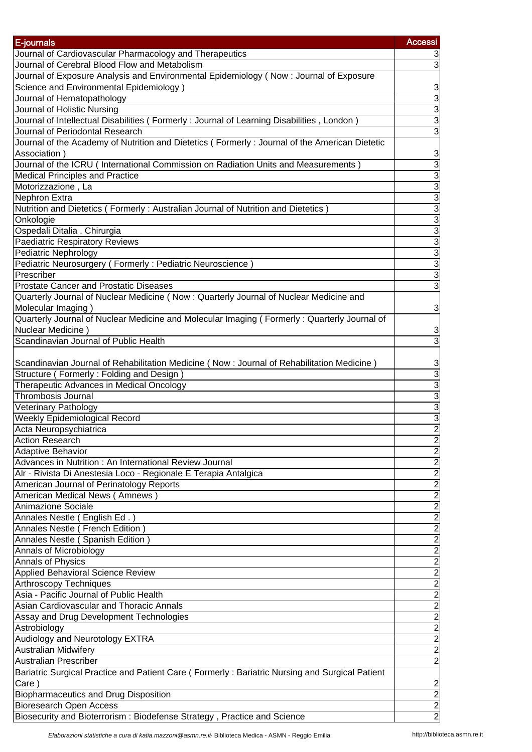| E-journals                                                                                     | <b>Accessi</b>              |
|------------------------------------------------------------------------------------------------|-----------------------------|
| Journal of Cardiovascular Pharmacology and Therapeutics                                        | З                           |
| Journal of Cerebral Blood Flow and Metabolism                                                  | $\overline{3}$              |
| Journal of Exposure Analysis and Environmental Epidemiology (Now: Journal of Exposure          |                             |
| Science and Environmental Epidemiology)                                                        | 3                           |
| Journal of Hematopathology                                                                     | $\overline{3}$              |
| Journal of Holistic Nursing                                                                    | $\overline{3}$              |
| Journal of Intellectual Disabilities (Formerly: Journal of Learning Disabilities, London)      | $\overline{3}$              |
| Journal of Periodontal Research                                                                | $\overline{3}$              |
| Journal of the Academy of Nutrition and Dietetics (Formerly: Journal of the American Dietetic  |                             |
| Association)                                                                                   | 3                           |
| Journal of the ICRU (International Commission on Radiation Units and Measurements)             | 3                           |
| <b>Medical Principles and Practice</b>                                                         | $\overline{3}$              |
| Motorizzazione, La                                                                             | $\overline{3}$              |
| Nephron Extra                                                                                  | $\overline{3}$              |
| Nutrition and Dietetics (Formerly: Australian Journal of Nutrition and Dietetics)              | $\overline{3}$              |
| Onkologie                                                                                      | $\overline{3}$              |
| Ospedali Ditalia . Chirurgia                                                                   | $\overline{3}$              |
| <b>Paediatric Respiratory Reviews</b>                                                          | 3                           |
| <b>Pediatric Nephrology</b>                                                                    | $\overline{3}$              |
| Pediatric Neurosurgery (Formerly: Pediatric Neuroscience)                                      | 3                           |
| Prescriber                                                                                     | $\overline{3}$              |
| <b>Prostate Cancer and Prostatic Diseases</b>                                                  | $\overline{3}$              |
| Quarterly Journal of Nuclear Medicine (Now: Quarterly Journal of Nuclear Medicine and          |                             |
| Molecular Imaging)                                                                             | 3                           |
| Quarterly Journal of Nuclear Medicine and Molecular Imaging (Formerly: Quarterly Journal of    |                             |
| Nuclear Medicine)                                                                              | 3                           |
| Scandinavian Journal of Public Health                                                          | $\overline{3}$              |
|                                                                                                |                             |
| Scandinavian Journal of Rehabilitation Medicine (Now: Journal of Rehabilitation Medicine)      | 3                           |
| Structure (Formerly: Folding and Design)                                                       | $\overline{3}$              |
| Therapeutic Advances in Medical Oncology                                                       | 3                           |
| Thrombosis Journal                                                                             | $\overline{3}$              |
| Veterinary Pathology                                                                           | $\overline{3}$              |
| Weekly Epidemiological Record                                                                  | $\overline{3}$              |
| Acta Neuropsychiatrica                                                                         | $\overline{2}$              |
| <b>Action Research</b>                                                                         | $\overline{\mathbf{c}}$     |
| <b>Adaptive Behavior</b>                                                                       | $\overline{2}$              |
| Advances in Nutrition : An International Review Journal                                        |                             |
| Alr - Rivista Di Anestesia Loco - Regionale E Terapia Antalgica                                |                             |
| American Journal of Perinatology Reports                                                       | $\frac{2}{2}$               |
| American Medical News (Amnews)                                                                 |                             |
| Animazione Sociale                                                                             |                             |
| Annales Nestle (English Ed.)                                                                   | $\frac{2}{2}$ $\frac{2}{2}$ |
| Annales Nestle (French Edition)                                                                |                             |
| Annales Nestle (Spanish Edition)                                                               | $\overline{2}$              |
| Annals of Microbiology                                                                         |                             |
| Annals of Physics                                                                              | $\frac{2}{2}$               |
|                                                                                                | $\overline{2}$              |
| Applied Behavioral Science Review                                                              |                             |
| <b>Arthroscopy Techniques</b><br>Asia - Pacific Journal of Public Health                       | $\overline{2}$              |
| Asian Cardiovascular and Thoracic Annals                                                       | $\overline{2}$              |
|                                                                                                | $\overline{2}$              |
| Assay and Drug Development Technologies                                                        | $\overline{2}$              |
| Astrobiology                                                                                   | $\overline{c}$              |
| Audiology and Neurotology EXTRA                                                                | $\frac{2}{2}$               |
| <b>Australian Midwifery</b>                                                                    | $\overline{2}$              |
| <b>Australian Prescriber</b>                                                                   |                             |
| Bariatric Surgical Practice and Patient Care (Formerly: Bariatric Nursing and Surgical Patient |                             |
| Care)                                                                                          | $\frac{2}{2}$               |
| <b>Biopharmaceutics and Drug Disposition</b>                                                   |                             |
| <b>Bioresearch Open Access</b>                                                                 |                             |
| Biosecurity and Bioterrorism: Biodefense Strategy, Practice and Science                        | $\overline{2}$              |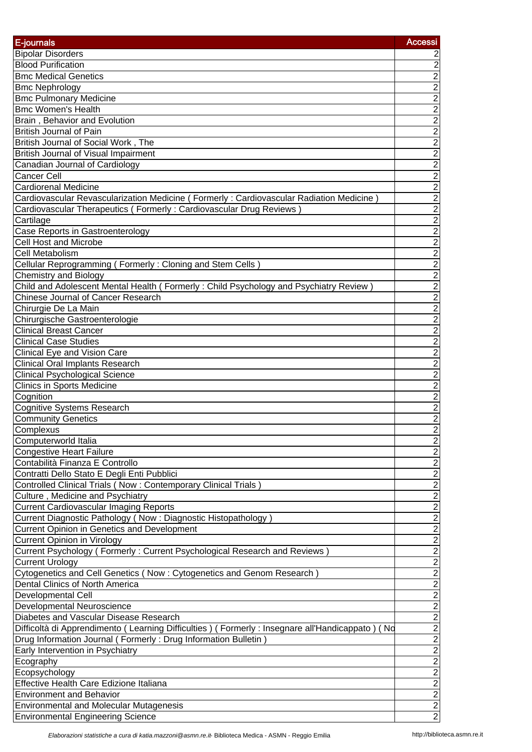| E-journals                                                                                          | <b>Accessi</b>              |
|-----------------------------------------------------------------------------------------------------|-----------------------------|
| <b>Bipolar Disorders</b>                                                                            | 2                           |
| <b>Blood Purification</b>                                                                           | $\overline{2}$              |
| <b>Bmc Medical Genetics</b>                                                                         | $\overline{2}$              |
| <b>Bmc Nephrology</b>                                                                               | $\overline{2}$              |
| <b>Bmc Pulmonary Medicine</b>                                                                       | $\overline{2}$              |
| <b>Bmc Women's Health</b>                                                                           | $\overline{2}$              |
| Brain, Behavior and Evolution                                                                       | $\overline{2}$              |
| British Journal of Pain                                                                             | $\overline{2}$              |
| British Journal of Social Work, The                                                                 | $\overline{2}$              |
| <b>British Journal of Visual Impairment</b>                                                         | $\overline{2}$              |
| Canadian Journal of Cardiology                                                                      | $\overline{2}$              |
| <b>Cancer Cell</b>                                                                                  | $\overline{2}$              |
| <b>Cardiorenal Medicine</b>                                                                         | $\overline{c}$              |
| Cardiovascular Revascularization Medicine (Formerly: Cardiovascular Radiation Medicine)             | $\overline{2}$              |
| Cardiovascular Therapeutics (Formerly: Cardiovascular Drug Reviews)                                 | $\overline{2}$              |
| Cartilage                                                                                           | $\overline{2}$              |
| Case Reports in Gastroenterology                                                                    |                             |
| <b>Cell Host and Microbe</b>                                                                        | $\frac{2}{2}$               |
| Cell Metabolism                                                                                     |                             |
|                                                                                                     |                             |
| Cellular Reprogramming (Formerly: Cloning and Stem Cells)                                           | $\frac{2}{2}$               |
| <b>Chemistry and Biology</b>                                                                        |                             |
| Child and Adolescent Mental Health (Formerly: Child Psychology and Psychiatry Review)               |                             |
| Chinese Journal of Cancer Research                                                                  | $\overline{2}$              |
| Chirurgie De La Main                                                                                | $\overline{2}$              |
| Chirurgische Gastroenterologie                                                                      | $\overline{2}$              |
| <b>Clinical Breast Cancer</b>                                                                       | $\overline{2}$              |
| <b>Clinical Case Studies</b>                                                                        | $\overline{2}$              |
| Clinical Eye and Vision Care                                                                        | $\overline{2}$              |
| <b>Clinical Oral Implants Research</b>                                                              | $\overline{2}$              |
| <b>Clinical Psychological Science</b>                                                               | $\overline{2}$              |
| <b>Clinics in Sports Medicine</b>                                                                   | $\overline{c}$              |
| Cognition                                                                                           | $\overline{2}$              |
| <b>Cognitive Systems Research</b>                                                                   | $\overline{2}$              |
| <b>Community Genetics</b>                                                                           | $\overline{2}$              |
| Complexus                                                                                           | $\overline{2}$              |
| Computerworld Italia                                                                                | $\overline{2}$              |
| <b>Congestive Heart Failure</b>                                                                     | $\overline{2}$              |
| Contabilità Finanza E Controllo                                                                     | $\frac{2}{2}$               |
| Contratti Dello Stato E Degli Enti Pubblici                                                         |                             |
| Controlled Clinical Trials (Now: Contemporary Clinical Trials)                                      | $\overline{2}$              |
| Culture, Medicine and Psychiatry                                                                    | $\overline{2}$              |
| <b>Current Cardiovascular Imaging Reports</b>                                                       | $\overline{2}$              |
| Current Diagnostic Pathology (Now: Diagnostic Histopathology)                                       | $\overline{2}$              |
| Current Opinion in Genetics and Development                                                         | $\overline{2}$              |
| <b>Current Opinion in Virology</b>                                                                  | $\overline{2}$              |
| Current Psychology (Formerly: Current Psychological Research and Reviews                            | $\overline{2}$              |
| <b>Current Urology</b>                                                                              | $\overline{2}$              |
| Cytogenetics and Cell Genetics (Now: Cytogenetics and Genom Research                                | $\overline{2}$              |
| Dental Clinics of North America                                                                     |                             |
| <b>Developmental Cell</b>                                                                           |                             |
| Developmental Neuroscience                                                                          | $\frac{2}{2}$ $\frac{2}{2}$ |
| Diabetes and Vascular Disease Research                                                              |                             |
| Difficoltà di Apprendimento (Learning Difficulties) (Formerly : Insegnare all'Handicappato)<br>( Nd |                             |
| Drug Information Journal (Formerly: Drug Information Bulletin)                                      | $\frac{2}{2}$               |
| Early Intervention in Psychiatry                                                                    |                             |
| Ecography                                                                                           | $\overline{2}$              |
| Ecopsychology                                                                                       | $\overline{2}$              |
| Effective Health Care Edizione Italiana                                                             | $\overline{2}$              |
| <b>Environment and Behavior</b>                                                                     | $\overline{2}$              |
| <b>Environmental and Molecular Mutagenesis</b>                                                      | $\overline{2}$              |
| <b>Environmental Engineering Science</b>                                                            | $\overline{2}$              |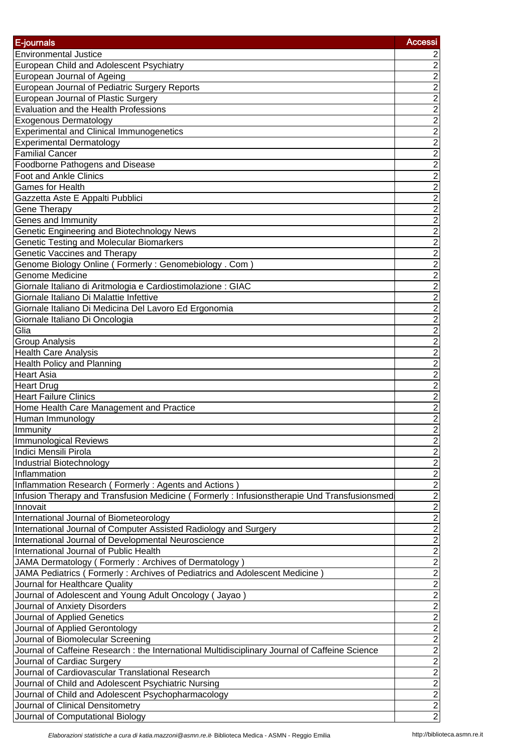| E-journals                                                                                     | <b>Accessi</b>              |
|------------------------------------------------------------------------------------------------|-----------------------------|
| <b>Environmental Justice</b>                                                                   |                             |
| European Child and Adolescent Psychiatry                                                       | $\overline{c}$              |
| European Journal of Ageing                                                                     | $\overline{2}$              |
| European Journal of Pediatric Surgery Reports                                                  | $\overline{2}$              |
| European Journal of Plastic Surgery                                                            | $\overline{2}$              |
| Evaluation and the Health Professions                                                          |                             |
| <b>Exogenous Dermatology</b>                                                                   | $\frac{2}{2}$               |
| <b>Experimental and Clinical Immunogenetics</b>                                                |                             |
| <b>Experimental Dermatology</b>                                                                | $\frac{2}{2}$               |
| <b>Familial Cancer</b>                                                                         | $\overline{2}$              |
| Foodborne Pathogens and Disease                                                                | $\overline{c}$              |
| Foot and Ankle Clinics                                                                         | $\overline{2}$              |
| Games for Health                                                                               | $\overline{2}$              |
| Gazzetta Aste E Appalti Pubblici                                                               | $\overline{2}$              |
| Gene Therapy                                                                                   | $\overline{2}$              |
| Genes and Immunity                                                                             | $\overline{2}$              |
| Genetic Engineering and Biotechnology News                                                     | $\overline{\mathbf{c}}$     |
| <b>Genetic Testing and Molecular Biomarkers</b>                                                | $\overline{2}$              |
| Genetic Vaccines and Therapy                                                                   | $\overline{2}$              |
| Genome Biology Online (Formerly: Genomebiology. Com)                                           |                             |
| <b>Genome Medicine</b>                                                                         | $\frac{2}{2}$               |
| Giornale Italiano di Aritmologia e Cardiostimolazione : GIAC                                   |                             |
| Giornale Italiano Di Malattie Infettive                                                        |                             |
| Giornale Italiano Di Medicina Del Lavoro Ed Ergonomia                                          | $\frac{2}{2}$               |
| Giornale Italiano Di Oncologia                                                                 |                             |
| Glia                                                                                           | $\overline{2}$              |
| <b>Group Analysis</b>                                                                          | $\overline{2}$              |
| <b>Health Care Analysis</b>                                                                    | $\overline{2}$              |
| Health Policy and Planning                                                                     | $\overline{\mathbf{c}}$     |
| Heart Asia                                                                                     | $\overline{2}$              |
| <b>Heart Drug</b>                                                                              | $\overline{2}$              |
| <b>Heart Failure Clinics</b>                                                                   | $\overline{2}$              |
| Home Health Care Management and Practice                                                       | $\overline{2}$              |
| Human Immunology                                                                               | $\overline{2}$              |
| Immunity                                                                                       | $\overline{2}$              |
| <b>Immunological Reviews</b>                                                                   | $\overline{2}$              |
| Indici Mensili Pirola                                                                          | $\overline{2}$              |
| Industrial Biotechnology                                                                       | $\frac{2}{2}$ $\frac{2}{2}$ |
| Inflammation                                                                                   |                             |
| Inflammation Research (Formerly: Agents and Actions)                                           |                             |
| Infusion Therapy and Transfusion Medicine (Formerly: Infusionstherapie Und Transfusionsmed     |                             |
| Innovait                                                                                       |                             |
| International Journal of Biometeorology                                                        | $\overline{2}$              |
| International Journal of Computer Assisted Radiology and Surgery                               | $\frac{2}{2}$               |
| International Journal of Developmental Neuroscience                                            |                             |
| International Journal of Public Health                                                         | $\overline{2}$              |
| JAMA Dermatology (Formerly: Archives of Dermatology)                                           | $\overline{2}$              |
| JAMA Pediatrics (Formerly: Archives of Pediatrics and Adolescent Medicine)                     | $\overline{2}$              |
| Journal for Healthcare Quality                                                                 | $\overline{2}$              |
| Journal of Adolescent and Young Adult Oncology (Jayao)                                         | $\overline{2}$              |
| Journal of Anxiety Disorders                                                                   | $\overline{2}$              |
| Journal of Applied Genetics                                                                    | $\frac{2}{2}$ $\frac{2}{2}$ |
| Journal of Applied Gerontology                                                                 |                             |
| Journal of Biomolecular Screening                                                              |                             |
| Journal of Caffeine Research : the International Multidisciplinary Journal of Caffeine Science |                             |
| Journal of Cardiac Surgery                                                                     | $\frac{2}{2}$               |
| Journal of Cardiovascular Translational Research                                               |                             |
| Journal of Child and Adolescent Psychiatric Nursing                                            |                             |
| Journal of Child and Adolescent Psychopharmacology                                             | $\overline{2}$              |
| Journal of Clinical Densitometry                                                               | $\frac{2}{2}$               |
| Journal of Computational Biology                                                               |                             |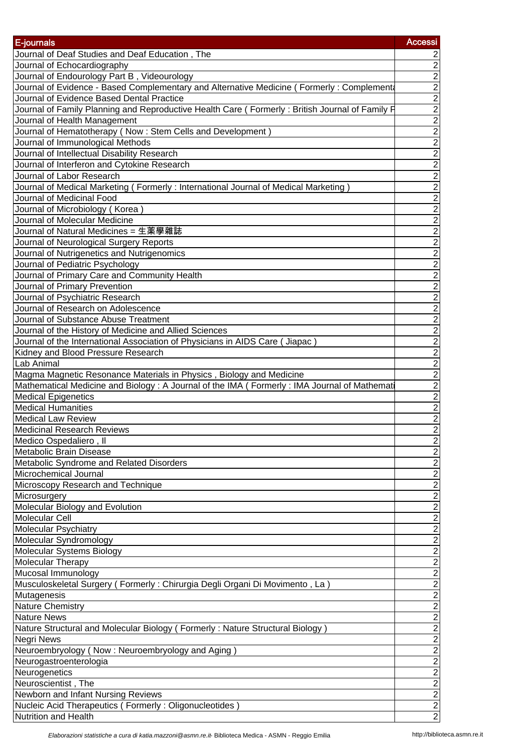| E-journals                                                                                                                                                            | <b>Accessi</b>                                          |
|-----------------------------------------------------------------------------------------------------------------------------------------------------------------------|---------------------------------------------------------|
| Journal of Deaf Studies and Deaf Education, The                                                                                                                       | $\overline{2}$                                          |
| Journal of Echocardiography                                                                                                                                           | $\overline{2}$                                          |
| Journal of Endourology Part B, Videourology                                                                                                                           | $\overline{2}$                                          |
| Journal of Evidence - Based Complementary and Alternative Medicine (Formerly: Complement                                                                              | $\overline{2}$                                          |
| Journal of Evidence Based Dental Practice                                                                                                                             | $\overline{2}$                                          |
| Journal of Family Planning and Reproductive Health Care (Formerly: British Journal of Family F                                                                        |                                                         |
| Journal of Health Management                                                                                                                                          | $\frac{2}{2}$ $\frac{2}{2}$ $\frac{2}{2}$ $\frac{2}{2}$ |
| Journal of Hematotherapy (Now: Stem Cells and Development)                                                                                                            |                                                         |
| Journal of Immunological Methods                                                                                                                                      |                                                         |
| Journal of Intellectual Disability Research                                                                                                                           |                                                         |
| Journal of Interferon and Cytokine Research                                                                                                                           |                                                         |
| Journal of Labor Research                                                                                                                                             | $\overline{2}$                                          |
| Journal of Medical Marketing (Formerly: International Journal of Medical Marketing)                                                                                   | $\overline{2}$                                          |
| Journal of Medicinal Food                                                                                                                                             | $\overline{2}$                                          |
| Journal of Microbiology (Korea)                                                                                                                                       | $\overline{2}$                                          |
| Journal of Molecular Medicine                                                                                                                                         | $\overline{2}$                                          |
| Journal of Natural Medicines = 生薬學雜誌                                                                                                                                  | $\overline{2}$                                          |
| Journal of Neurological Surgery Reports                                                                                                                               | $\overline{2}$                                          |
| Journal of Nutrigenetics and Nutrigenomics                                                                                                                            | $\overline{2}$                                          |
| Journal of Pediatric Psychology                                                                                                                                       | $\overline{c}$                                          |
| Journal of Primary Care and Community Health                                                                                                                          |                                                         |
| Journal of Primary Prevention                                                                                                                                         |                                                         |
| Journal of Psychiatric Research                                                                                                                                       | $\frac{2}{2}$ $\frac{2}{2}$ $\frac{2}{2}$ $\frac{2}{2}$ |
| Journal of Research on Adolescence                                                                                                                                    |                                                         |
| Journal of Substance Abuse Treatment                                                                                                                                  |                                                         |
| Journal of the History of Medicine and Allied Sciences                                                                                                                |                                                         |
| Journal of the International Association of Physicians in AIDS Care ( Jiapac )                                                                                        |                                                         |
| Kidney and Blood Pressure Research<br>Lab Animal                                                                                                                      | $\overline{2}$<br>$\overline{2}$                        |
|                                                                                                                                                                       | $\overline{c}$                                          |
| Magma Magnetic Resonance Materials in Physics, Biology and Medicine<br>Mathematical Medicine and Biology : A Journal of the IMA ( Formerly : IMA Journal of Mathemati | $\overline{2}$                                          |
| <b>Medical Epigenetics</b>                                                                                                                                            |                                                         |
| Medical Humanities                                                                                                                                                    | $\frac{2}{2}$                                           |
| Medical Law Review                                                                                                                                                    | $\overline{2}$                                          |
| <b>Medicinal Research Reviews</b>                                                                                                                                     | $\overline{2}$                                          |
| Medico Ospedaliero, Il                                                                                                                                                | $\overline{\mathbf{c}}$                                 |
| Metabolic Brain Disease                                                                                                                                               | $\overline{2}$                                          |
| Metabolic Syndrome and Related Disorders                                                                                                                              | $\overline{2}$                                          |
| Microchemical Journal                                                                                                                                                 |                                                         |
| Microscopy Research and Technique                                                                                                                                     | $\frac{2}{2}$ $\frac{2}{2}$                             |
| Microsurgery                                                                                                                                                          |                                                         |
| Molecular Biology and Evolution                                                                                                                                       |                                                         |
| Molecular Cell                                                                                                                                                        |                                                         |
| Molecular Psychiatry                                                                                                                                                  | $\overline{2}$                                          |
| Molecular Syndromology                                                                                                                                                | $\overline{2}$                                          |
| Molecular Systems Biology                                                                                                                                             | $\overline{2}$                                          |
| <b>Molecular Therapy</b>                                                                                                                                              | $\overline{2}$                                          |
| Mucosal Immunology                                                                                                                                                    | $\overline{2}$                                          |
| Musculoskeletal Surgery (Formerly: Chirurgia Degli Organi Di Movimento, La)                                                                                           | $\overline{2}$                                          |
| Mutagenesis                                                                                                                                                           | $\overline{2}$                                          |
| <b>Nature Chemistry</b>                                                                                                                                               | $\overline{2}$                                          |
| <b>Nature News</b>                                                                                                                                                    | $\overline{2}$                                          |
| Nature Structural and Molecular Biology (Formerly: Nature Structural Biology)                                                                                         | $\overline{c}$                                          |
| <b>Negri News</b>                                                                                                                                                     | $\frac{2}{2}$ $\frac{2}{2}$ $\frac{2}{2}$ $\frac{2}{2}$ |
| Neuroembryology (Now: Neuroembryology and Aging)                                                                                                                      |                                                         |
| Neurogastroenterologia                                                                                                                                                |                                                         |
| Neurogenetics                                                                                                                                                         |                                                         |
| Neuroscientist, The                                                                                                                                                   |                                                         |
| Newborn and Infant Nursing Reviews                                                                                                                                    |                                                         |
| Nucleic Acid Therapeutics (Formerly: Oligonucleotides)                                                                                                                |                                                         |
| Nutrition and Health                                                                                                                                                  | $\overline{2}$                                          |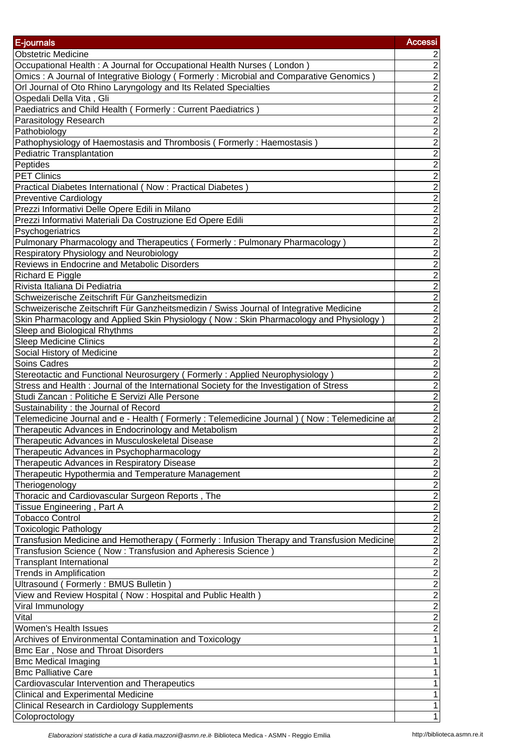| E-journals                                                                                                                | <b>Accessi</b>                            |
|---------------------------------------------------------------------------------------------------------------------------|-------------------------------------------|
| <b>Obstetric Medicine</b>                                                                                                 |                                           |
| Occupational Health: A Journal for Occupational Health Nurses (London)                                                    | $\overline{2}$                            |
| Omics: A Journal of Integrative Biology (Formerly: Microbial and Comparative Genomics)                                    | $\overline{2}$                            |
| Orl Journal of Oto Rhino Laryngology and Its Related Specialties                                                          | $\overline{2}$                            |
| Ospedali Della Vita, Gli                                                                                                  | $\overline{2}$                            |
| Paediatrics and Child Health (Formerly: Current Paediatrics)                                                              | $\overline{2}$                            |
| Parasitology Research                                                                                                     |                                           |
| Pathobiology                                                                                                              | $\frac{2}{2}$                             |
| Pathophysiology of Haemostasis and Thrombosis (Formerly: Haemostasis)                                                     |                                           |
| Pediatric Transplantation                                                                                                 | $\overline{2}$                            |
| Peptides                                                                                                                  | $\overline{2}$                            |
| <b>PET Clinics</b>                                                                                                        | $\overline{2}$                            |
| Practical Diabetes International (Now: Practical Diabetes)                                                                | $\overline{2}$                            |
| <b>Preventive Cardiology</b>                                                                                              | $\overline{2}$                            |
| Prezzi Informativi Delle Opere Edili in Milano                                                                            | $\overline{2}$                            |
| Prezzi Informativi Materiali Da Costruzione Ed Opere Edili                                                                | $\overline{2}$                            |
| Psychogeriatrics                                                                                                          | $\overline{2}$                            |
| Pulmonary Pharmacology and Therapeutics (Formerly: Pulmonary Pharmacology)                                                | $\overline{\mathbf{c}}$                   |
| Respiratory Physiology and Neurobiology                                                                                   | $\overline{2}$                            |
| Reviews in Endocrine and Metabolic Disorders                                                                              | $\overline{2}$                            |
| <b>Richard E Piggle</b>                                                                                                   | $\overline{2}$                            |
| Rivista Italiana Di Pediatria                                                                                             | $\overline{2}$                            |
| Schweizerische Zeitschrift Für Ganzheitsmedizin                                                                           | $\overline{2}$                            |
| Schweizerische Zeitschrift Für Ganzheitsmedizin / Swiss Journal of Integrative Medicine                                   | $\frac{2}{2}$                             |
| Skin Pharmacology and Applied Skin Physiology (Now: Skin Pharmacology and Physiology)                                     |                                           |
| Sleep and Biological Rhythms<br><b>Sleep Medicine Clinics</b>                                                             | $\overline{2}$                            |
| Social History of Medicine                                                                                                | $\overline{2}$                            |
| <b>Soins Cadres</b>                                                                                                       | $\overline{2}$                            |
| Stereotactic and Functional Neurosurgery (Formerly: Applied Neurophysiology)                                              | $\overline{2}$                            |
| Stress and Health : Journal of the International Society for the Investigation of Stress                                  | $\overline{2}$                            |
| Studi Zancan : Politiche E Servizi Alle Persone                                                                           | $\overline{2}$                            |
| Sustainability : the Journal of Record                                                                                    | $\overline{2}$                            |
| Telemedicine Journal and e - Health (Formerly: Telemedicine Journal) (Now: Telemedicine ar                                | $\boldsymbol{2}$                          |
| Therapeutic Advances in Endocrinology and Metabolism                                                                      | $\overline{2}$                            |
| Therapeutic Advances in Musculoskeletal Disease                                                                           | $\overline{\mathbf{c}}$                   |
| Therapeutic Advances in Psychopharmacology                                                                                | $\overline{2}$                            |
| Therapeutic Advances in Respiratory Disease                                                                               | $\frac{2}{2}$ $\frac{2}{2}$ $\frac{2}{2}$ |
| Therapeutic Hypothermia and Temperature Management                                                                        |                                           |
| Theriogenology                                                                                                            |                                           |
| Thoracic and Cardiovascular Surgeon Reports, The                                                                          |                                           |
| Tissue Engineering, Part A                                                                                                |                                           |
| <b>Tobacco Control</b>                                                                                                    |                                           |
| <b>Toxicologic Pathology</b><br>Transfusion Medicine and Hemotherapy (Formerly: Infusion Therapy and Transfusion Medicine | $\overline{2}$<br>$\overline{2}$          |
| Transfusion Science (Now: Transfusion and Apheresis Science)                                                              | $\overline{2}$                            |
| <b>Transplant International</b>                                                                                           | $\overline{c}$                            |
| <b>Trends in Amplification</b>                                                                                            | $\overline{2}$                            |
| Ultrasound (Formerly: BMUS Bulletin                                                                                       | $\overline{2}$                            |
| View and Review Hospital (Now: Hospital and Public Health)                                                                | $\overline{2}$                            |
| Viral Immunology                                                                                                          | $\mathbf 2$                               |
| Vital                                                                                                                     | $\overline{2}$                            |
| Women's Health Issues                                                                                                     | $\overline{c}$                            |
| Archives of Environmental Contamination and Toxicology                                                                    | 1                                         |
| Bmc Ear, Nose and Throat Disorders                                                                                        | 1                                         |
| <b>Bmc Medical Imaging</b>                                                                                                | 1                                         |
| <b>Bmc</b> Palliative Care                                                                                                | 1                                         |
| Cardiovascular Intervention and Therapeutics                                                                              | 1                                         |
| <b>Clinical and Experimental Medicine</b>                                                                                 | 1                                         |
| <b>Clinical Research in Cardiology Supplements</b>                                                                        | $\mathbf{1}$                              |
| Coloproctology                                                                                                            | $\mathbf{1}$                              |